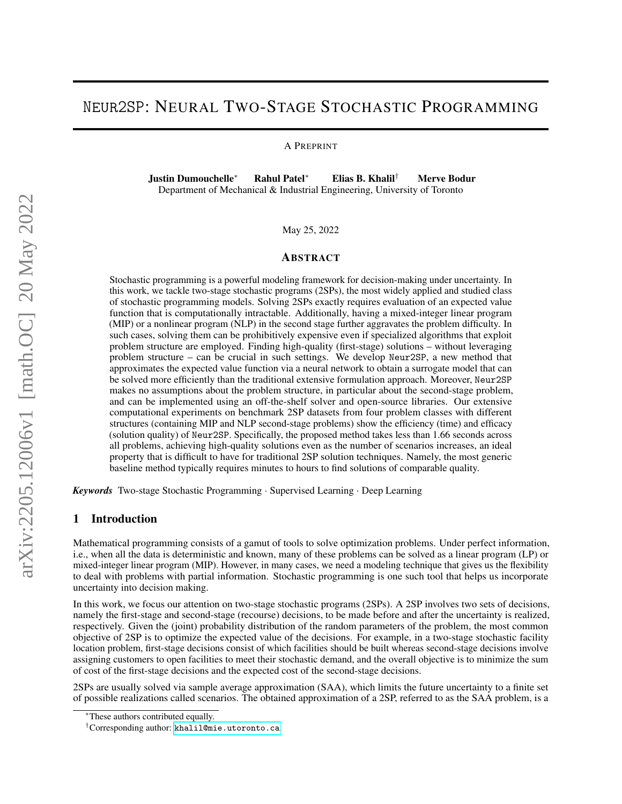# Neur2SP: NEURAL TWO-STAGE STOCHASTIC PROGRAMMING

A PREPRINT

Justin Dumouchelle<sup>∗</sup> Rahul Patel<sup>∗</sup> Elias B. Khalil† Merve Bodur Department of Mechanical & Industrial Engineering, University of Toronto

May 25, 2022

## ABSTRACT

Stochastic programming is a powerful modeling framework for decision-making under uncertainty. In this work, we tackle two-stage stochastic programs (2SPs), the most widely applied and studied class of stochastic programming models. Solving 2SPs exactly requires evaluation of an expected value function that is computationally intractable. Additionally, having a mixed-integer linear program (MIP) or a nonlinear program (NLP) in the second stage further aggravates the problem difficulty. In such cases, solving them can be prohibitively expensive even if specialized algorithms that exploit problem structure are employed. Finding high-quality (first-stage) solutions – without leveraging problem structure – can be crucial in such settings. We develop Neur2SP, a new method that approximates the expected value function via a neural network to obtain a surrogate model that can be solved more efficiently than the traditional extensive formulation approach. Moreover, Neur2SP makes no assumptions about the problem structure, in particular about the second-stage problem, and can be implemented using an off-the-shelf solver and open-source libraries. Our extensive computational experiments on benchmark 2SP datasets from four problem classes with different structures (containing MIP and NLP second-stage problems) show the efficiency (time) and efficacy (solution quality) of Neur2SP. Specifically, the proposed method takes less than 1.66 seconds across all problems, achieving high-quality solutions even as the number of scenarios increases, an ideal property that is difficult to have for traditional 2SP solution techniques. Namely, the most generic baseline method typically requires minutes to hours to find solutions of comparable quality.

*Keywords* Two-stage Stochastic Programming · Supervised Learning · Deep Learning

### 1 Introduction

Mathematical programming consists of a gamut of tools to solve optimization problems. Under perfect information, i.e., when all the data is deterministic and known, many of these problems can be solved as a linear program (LP) or mixed-integer linear program (MIP). However, in many cases, we need a modeling technique that gives us the flexibility to deal with problems with partial information. Stochastic programming is one such tool that helps us incorporate uncertainty into decision making.

In this work, we focus our attention on two-stage stochastic programs (2SPs). A 2SP involves two sets of decisions, namely the first-stage and second-stage (recourse) decisions, to be made before and after the uncertainty is realized, respectively. Given the (joint) probability distribution of the random parameters of the problem, the most common objective of 2SP is to optimize the expected value of the decisions. For example, in a two-stage stochastic facility location problem, first-stage decisions consist of which facilities should be built whereas second-stage decisions involve assigning customers to open facilities to meet their stochastic demand, and the overall objective is to minimize the sum of cost of the first-stage decisions and the expected cost of the second-stage decisions.

2SPs are usually solved via sample average approximation (SAA), which limits the future uncertainty to a finite set of possible realizations called scenarios. The obtained approximation of a 2SP, referred to as the SAA problem, is a

These authors contributed equally.

<sup>†</sup>Corresponding author: [khalil@mie.utoronto.ca](mailto:khalil@mie.utoronto.ca).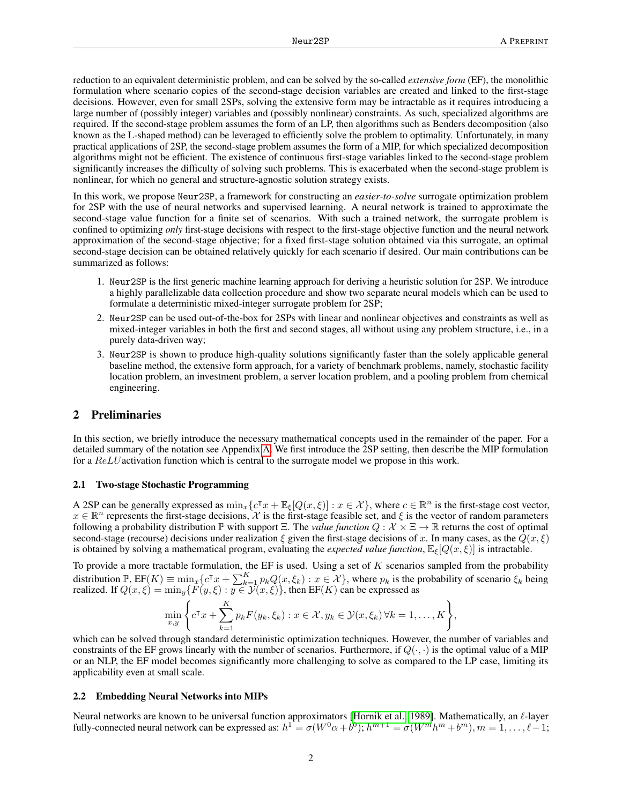reduction to an equivalent deterministic problem, and can be solved by the so-called *extensive form* (EF), the monolithic formulation where scenario copies of the second-stage decision variables are created and linked to the first-stage decisions. However, even for small 2SPs, solving the extensive form may be intractable as it requires introducing a large number of (possibly integer) variables and (possibly nonlinear) constraints. As such, specialized algorithms are required. If the second-stage problem assumes the form of an LP, then algorithms such as Benders decomposition (also known as the L-shaped method) can be leveraged to efficiently solve the problem to optimality. Unfortunately, in many practical applications of 2SP, the second-stage problem assumes the form of a MIP, for which specialized decomposition algorithms might not be efficient. The existence of continuous first-stage variables linked to the second-stage problem significantly increases the difficulty of solving such problems. This is exacerbated when the second-stage problem is nonlinear, for which no general and structure-agnostic solution strategy exists.

In this work, we propose Neur2SP, a framework for constructing an *easier-to-solve* surrogate optimization problem for 2SP with the use of neural networks and supervised learning. A neural network is trained to approximate the second-stage value function for a finite set of scenarios. With such a trained network, the surrogate problem is confined to optimizing *only* first-stage decisions with respect to the first-stage objective function and the neural network approximation of the second-stage objective; for a fixed first-stage solution obtained via this surrogate, an optimal second-stage decision can be obtained relatively quickly for each scenario if desired. Our main contributions can be summarized as follows:

- 1. Neur2SP is the first generic machine learning approach for deriving a heuristic solution for 2SP. We introduce a highly parallelizable data collection procedure and show two separate neural models which can be used to formulate a deterministic mixed-integer surrogate problem for 2SP;
- 2. Neur2SP can be used out-of-the-box for 2SPs with linear and nonlinear objectives and constraints as well as mixed-integer variables in both the first and second stages, all without using any problem structure, i.e., in a purely data-driven way;
- 3. Neur2SP is shown to produce high-quality solutions significantly faster than the solely applicable general baseline method, the extensive form approach, for a variety of benchmark problems, namely, stochastic facility location problem, an investment problem, a server location problem, and a pooling problem from chemical engineering.

### 2 Preliminaries

In this section, we briefly introduce the necessary mathematical concepts used in the remainder of the paper. For a detailed summary of the notation see Appendix [A.](#page-12-0) We first introduce the 2SP setting, then describe the MIP formulation for a ReLU activation function which is central to the surrogate model we propose in this work.

#### 2.1 Two-stage Stochastic Programming

A 2SP can be generally expressed as  $\min_x \{c^\intercal x + \mathbb{E}_{\xi} [Q(x, \xi)] : x \in \mathcal{X}\}\)$ , where  $c \in \mathbb{R}^n$  is the first-stage cost vector,  $x \in \mathbb{R}^n$  represents the first-stage decisions, X is the first-stage feasible set, and  $\xi$  is the vector of random parameters following a probability distribution  $\mathbb P$  with support  $\Xi$ . The *value function*  $Q : \mathcal X \times \Xi \to \mathbb R$  returns the cost of optimal second-stage (recourse) decisions under realization  $\xi$  given the first-stage decisions of x. In many cases, as the  $Q(x,\xi)$ is obtained by solving a mathematical program, evaluating the *expected value function*,  $\mathbb{E}_{\xi}[Q(x,\xi)]$  is intractable.

To provide a more tractable formulation, the EF is used. Using a set of  $K$  scenarios sampled from the probability distribution  $\mathbb{P}, \text{EF}(K) \equiv \min_x \{c^\intercal x + \sum_{k=1}^K p_k Q(x, \xi_k) : x \in \mathcal{X}\},\$  where  $p_k$  is the probability of scenario  $\xi_k$  being realized. If  $Q(x,\xi) = \min_y \{F(y,\xi) : y \in \mathcal{Y}(x,\xi)\}$ , then  $\text{EF}(K)$  can be expressed as

$$
\min_{x,y} \Bigg\{ c^{\mathsf{T}} x + \sum_{k=1}^{K} p_k F(y_k, \xi_k) : x \in \mathcal{X}, y_k \in \mathcal{Y}(x, \xi_k) \,\forall k = 1, \ldots, K \Bigg\},\
$$

which can be solved through standard deterministic optimization techniques. However, the number of variables and constraints of the EF grows linearly with the number of scenarios. Furthermore, if  $Q(\cdot, \cdot)$  is the optimal value of a MIP or an NLP, the EF model becomes significantly more challenging to solve as compared to the LP case, limiting its applicability even at small scale.

#### 2.2 Embedding Neural Networks into MIPs

Neural networks are known to be universal function approximators [\[Hornik et al., 1989\]](#page-10-0). Mathematically, an  $\ell$ -layer fully-connected neural network can be expressed as:  $h^1 = \sigma(W^0\alpha + b^0)$ ;  $h^{m+1} = \sigma(W^m h^m + b^m)$ ,  $m = 1, \ldots, \ell - 1$ ;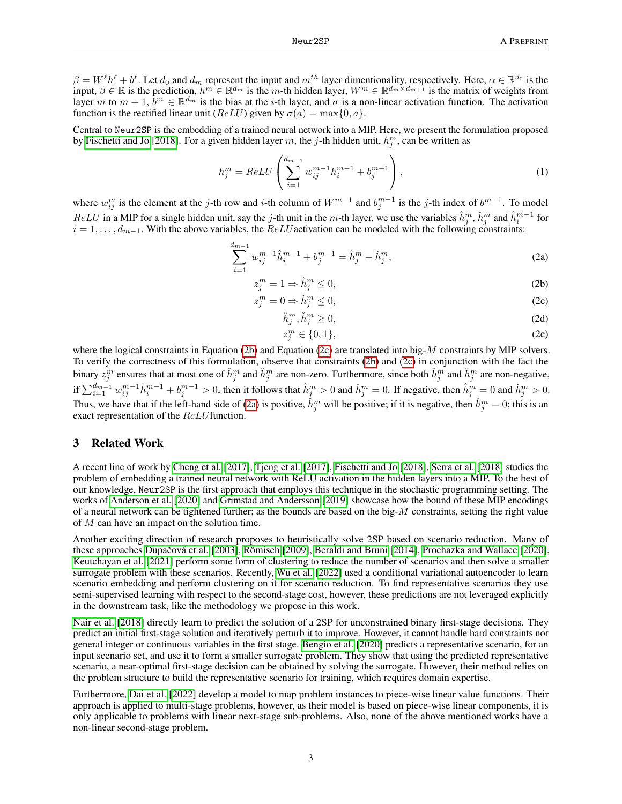$\beta = W^{\ell}h^{\ell} + b^{\ell}$ . Let  $d_0$  and  $d_m$  represent the input and  $m^{th}$  layer dimentionality, respectively. Here,  $\alpha \in \mathbb{R}^{d_0}$  is the input,  $\beta \in \mathbb{R}$  is the prediction,  $h^m \in \mathbb{R}^{d_m}$  is the m-th hidden layer,  $W^m \in \mathbb{R}^{d_m \times d_{m+1}}$  is the matrix of weights from layer m to  $m+1$ ,  $\bar{b}^m \in \mathbb{R}^{d_m}$  is the bias at the *i*-th layer, and  $\sigma$  is a non-linear activation function. The activation function is the rectified linear unit ( $ReLU$ ) given by  $\sigma(a) = \max\{0, a\}.$ 

Central to Neur2SP is the embedding of a trained neural network into a MIP. Here, we present the formulation proposed by [Fischetti and Jo](#page-10-1) [\[2018\]](#page-10-1). For a given hidden layer m, the j-th hidden unit,  $h_j^m$ , can be written as

<span id="page-2-2"></span>
$$
h_j^m = ReLU\left(\sum_{i=1}^{d_{m-1}} w_{ij}^{m-1} h_i^{m-1} + b_j^{m-1}\right),\tag{1}
$$

where  $w_{ij}^m$  is the element at the j-th row and i-th column of  $W^{m-1}$  and  $b_j^{m-1}$  is the j-th index of  $b^{m-1}$ . To model  $ReLU$  in a MIP for a single hidden unit, say the j-th unit in the m-th layer, we use the variables  $\hat{h}_j^m$ ,  $\check{h}_j^m$  and  $\hat{h}_i^{m-1}$  for  $i = 1, \ldots, d_{m-1}$ . With the above variables, the  $ReLU$  activation can be modeled with the following constraints:

$$
\sum_{i=1}^{d_{m-1}} w_{ij}^{m-1} \hat{h}_i^{m-1} + b_j^{m-1} = \hat{h}_j^m - \check{h}_j^m,
$$
\n(2a)

$$
z_j^m = 1 \Rightarrow \hat{h}_j^m \le 0,\tag{2b}
$$

$$
z_j^m = 0 \Rightarrow \check{h}_j^m \le 0,\tag{2c}
$$

$$
\hat{h}_j^m, \check{h}_j^m \ge 0,\tag{2d}
$$

<span id="page-2-1"></span><span id="page-2-0"></span>
$$
z_j^m \in \{0, 1\},\tag{2e}
$$

where the logical constraints in Equation [\(2b\)](#page-2-0) and Equation [\(2c\)](#page-2-1) are translated into big-M constraints by MIP solvers. To verify the correctness of this formulation, observe that constraints [\(2b\)](#page-2-0) and [\(2c\)](#page-2-1) in conjunction with the fact the binary  $z_j^m$  ensures that at most one of  $\hat{h}_j^m$  and  $\check{h}_j^m$  are non-zero. Furthermore, since both  $\hat{h}_j^m$  and  $\check{h}_j^m$  are non-negative, if  $\sum_{i=1}^{d_{m-1}} w_{ij}^{m-1} \hat{h}_i^{m-1} + b_j^{m-1} > 0$ , then it follows that  $\hat{h}_j^m > 0$  and  $\check{h}_j^m = 0$ . If negative, then  $\hat{h}_j^m = 0$  and  $\check{h}_j^m > 0$ . Thus, we have that if the left-hand side of [\(2a\)](#page-2-2) is positive,  $\hat{h}^m_j$  will be positive; if it is negative, then  $\hat{h}^m_j = 0$ ; this is an exact representation of the ReLU function.

### 3 Related Work

A recent line of work by [Cheng et al.](#page-10-2) [\[2017\]](#page-10-2), [Tjeng et al.](#page-10-3) [\[2017\]](#page-10-3), [Fischetti and Jo](#page-10-1) [\[2018\]](#page-10-1), [Serra et al.](#page-10-4) [\[2018\]](#page-10-4) studies the problem of embedding a trained neural network with ReLU activation in the hidden layers into a MIP. To the best of our knowledge, Neur2SP is the first approach that employs this technique in the stochastic programming setting. The works of [Anderson et al.](#page-10-5) [\[2020\]](#page-10-5) and [Grimstad and Andersson](#page-10-6) [\[2019\]](#page-10-6) showcase how the bound of these MIP encodings of a neural network can be tightened further; as the bounds are based on the big- $M$  constraints, setting the right value of M can have an impact on the solution time.

Another exciting direction of research proposes to heuristically solve 2SP based on scenario reduction. Many of these approaches Dupačová et al. [\[2003\]](#page-10-7), [Römisch](#page-10-8) [\[2009\]](#page-10-8), [Beraldi and Bruni](#page-10-9) [\[2014\]](#page-10-9), [Prochazka and Wallace](#page-10-10) [\[2020\]](#page-10-10), [Keutchayan et al.](#page-10-11) [\[2021\]](#page-10-11) perform some form of clustering to reduce the number of scenarios and then solve a smaller surrogate problem with these scenarios. Recently, [Wu et al.](#page-10-12) [\[2022\]](#page-10-12) used a conditional variational autoencoder to learn scenario embedding and perform clustering on it for scenario reduction. To find representative scenarios they use semi-supervised learning with respect to the second-stage cost, however, these predictions are not leveraged explicitly in the downstream task, like the methodology we propose in this work.

[Nair et al.](#page-10-13) [\[2018\]](#page-10-13) directly learn to predict the solution of a 2SP for unconstrained binary first-stage decisions. They predict an initial first-stage solution and iteratively perturb it to improve. However, it cannot handle hard constraints nor general integer or continuous variables in the first stage. [Bengio et al.](#page-10-14) [\[2020\]](#page-10-14) predicts a representative scenario, for an input scenario set, and use it to form a smaller surrogate problem. They show that using the predicted representative scenario, a near-optimal first-stage decision can be obtained by solving the surrogate. However, their method relies on the problem structure to build the representative scenario for training, which requires domain expertise.

Furthermore, [Dai et al.](#page-10-15) [\[2022\]](#page-10-15) develop a model to map problem instances to piece-wise linear value functions. Their approach is applied to multi-stage problems, however, as their model is based on piece-wise linear components, it is only applicable to problems with linear next-stage sub-problems. Also, none of the above mentioned works have a non-linear second-stage problem.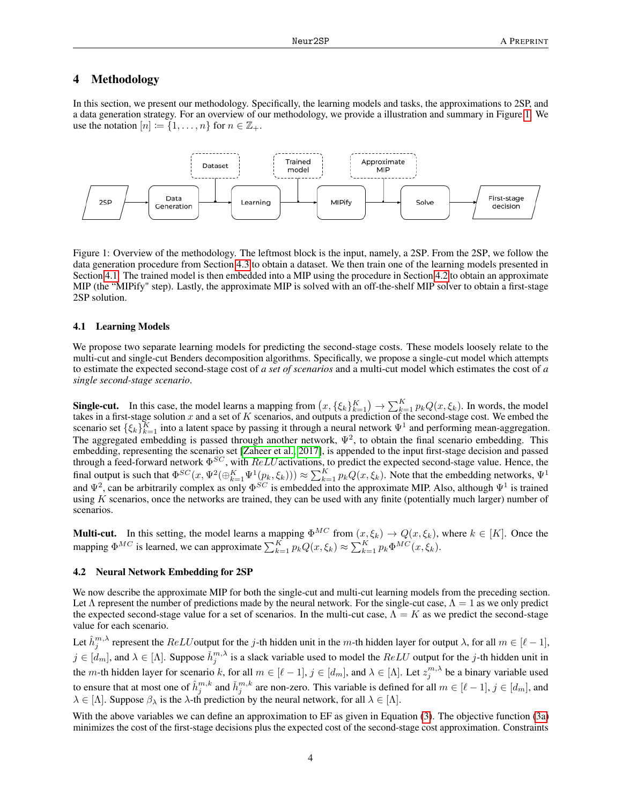### 4 Methodology

In this section, we present our methodology. Specifically, the learning models and tasks, the approximations to 2SP, and a data generation strategy. For an overview of our methodology, we provide a illustration and summary in Figure [1.](#page-3-0) We use the notation  $[n] := \{1, \ldots, n\}$  for  $n \in \mathbb{Z}_+$ .



<span id="page-3-0"></span>Figure 1: Overview of the methodology. The leftmost block is the input, namely, a 2SP. From the 2SP, we follow the data generation procedure from Section [4.3](#page-4-0) to obtain a dataset. We then train one of the learning models presented in Section [4.1.](#page-3-1) The trained model is then embedded into a MIP using the procedure in Section [4.2](#page-3-2) to obtain an approximate MIP (the "MIPify" step). Lastly, the approximate MIP is solved with an off-the-shelf MIP solver to obtain a first-stage 2SP solution.

#### <span id="page-3-1"></span>4.1 Learning Models

We propose two separate learning models for predicting the second-stage costs. These models loosely relate to the multi-cut and single-cut Benders decomposition algorithms. Specifically, we propose a single-cut model which attempts to estimate the expected second-stage cost of *a set of scenarios* and a multi-cut model which estimates the cost of *a single second-stage scenario*.

**Single-cut.** In this case, the model learns a mapping from  $(x, \{\xi_k\}_{k=1}^K) \to \sum_{k=1}^K p_k Q(x, \xi_k)$ . In words, the model takes in a first-stage solution x and a set of K scenarios, and outputs a prediction of the second-stage cost. We embed the scenario set  $\{\xi_k\}_{k=1}^K$  into a latent space by passing it through a neural network  $\Psi^1$  and performing mean-aggregation. The aggregated embedding is passed through another network,  $\Psi^2$ , to obtain the final scenario embedding. This embedding, representing the scenario set [\[Zaheer et al., 2017\]](#page-10-16), is appended to the input first-stage decision and passed through a feed-forward network  $\Phi^{SC}$ , with  $ReLU$  activations, to predict the expected second-stage value. Hence, the final output is such that  $\Phi^{SC}(x, \Psi^2(\oplus_{k=1}^K \Psi^1(p_k, \xi_k))) \approx \sum_{k=1}^K p_k Q(x, \xi_k)$ . Note that the embedding networks,  $\Psi^1$ and  $\Psi^2$ , can be arbitrarily complex as only  $\Phi^{SC}$  is embedded into the approximate MIP. Also, although  $\Psi^1$  is trained using  $K$  scenarios, once the networks are trained, they can be used with any finite (potentially much larger) number of scenarios.

**Multi-cut.** In this setting, the model learns a mapping  $\Phi^{MC}$  from  $(x, \xi_k) \to Q(x, \xi_k)$ , where  $k \in [K]$ . Once the mapping  $\Phi^{MC}$  is learned, we can approximate  $\sum_{k=1}^{K} p_k Q(x, \xi_k) \approx \sum_{k=1}^{K} p_k \Phi^{MC}(x, \xi_k)$ .

#### <span id="page-3-2"></span>4.2 Neural Network Embedding for 2SP

We now describe the approximate MIP for both the single-cut and multi-cut learning models from the preceding section. Let  $\Lambda$  represent the number of predictions made by the neural network. For the single-cut case,  $\Lambda = 1$  as we only predict the expected second-stage value for a set of scenarios. In the multi-cut case,  $\Lambda = K$  as we predict the second-stage value for each scenario.

Let  $\hat{h}^{m,\lambda}_j$  represent the  $ReLU$  output for the j-th hidden unit in the m-th hidden layer for output  $\lambda$ , for all  $m \in [\ell-1]$ ,  $j \in [d_m]$ , and  $\lambda \in [\Lambda]$ . Suppose  $\check{h}_j^{m,\lambda}$  is a slack variable used to model the  $ReLU$  output for the j-th hidden unit in the m-th hidden layer for scenario k, for all  $m \in [\ell - 1], j \in [d_m]$ , and  $\lambda \in [\Lambda]$ . Let  $z_j^{m,\lambda}$  be a binary variable used to ensure that at most one of  $\hat{h}^{m,k}_j$  and  $\check{h}^{m,k}_j$  are non-zero. This variable is defined for all  $m \in [\ell-1], j \in [d_m]$ , and  $\lambda \in [\Lambda]$ . Suppose  $\beta_{\lambda}$  is the  $\lambda$ -th prediction by the neural network, for all  $\lambda \in [\Lambda]$ .

With the above variables we can define an approximation to EF as given in Equation [\(3\)](#page-4-1). The objective function [\(3a\)](#page-4-2) minimizes the cost of the first-stage decisions plus the expected cost of the second-stage cost approximation. Constraints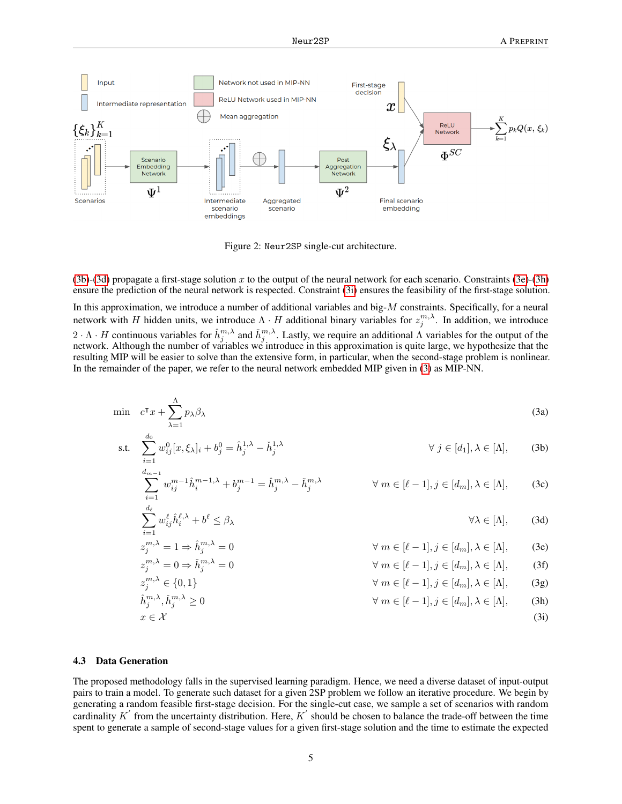

<span id="page-4-3"></span><span id="page-4-2"></span>Figure 2: Neur2SP single-cut architecture.

 $(3b)-(3d)$  $(3b)-(3d)$  $(3b)-(3d)$  propagate a first-stage solution x to the output of the neural network for each scenario. Constraints  $(3e)-(3h)$  $(3e)-(3h)$  $(3e)-(3h)$ ensure the prediction of the neural network is respected. Constraint [\(3i\)](#page-4-1) ensures the feasibility of the first-stage solution.

In this approximation, we introduce a number of additional variables and big-M constraints. Specifically, for a neural network with H hidden units, we introduce  $\Lambda \cdot H$  additional binary variables for  $z_j^{m,\lambda}$ . In addition, we introduce  $2 \cdot \Lambda \cdot H$  continuous variables for  $\hat{h}^{m,\lambda}_{j}$  and  $\check{h}^{m,\lambda}_{j}$ . Lastly, we require an additional  $\Lambda$  variables for the output of the network. Although the number of variables we introduce in this approximation is quite large, we hypothesize that the resulting MIP will be easier to solve than the extensive form, in particular, when the second-stage problem is nonlinear. In the remainder of the paper, we refer to the neural network embedded MIP given in [\(3\)](#page-4-1) as MIP-NN.

$$
\min \quad c^{\mathsf{T}}x + \sum_{\lambda=1}^{\Lambda} p_{\lambda} \beta_{\lambda} \tag{3a}
$$

s.t. 
$$
\sum_{i=1}^{d_0} w_{ij}^0 [x, \xi_{\lambda}]_i + b_j^0 = \hat{h}_j^{1, \lambda} - \check{h}_j^{1, \lambda}
$$
  $\forall j \in [d_1], \lambda \in [\Lambda],$  (3b)

$$
\sum_{i=1}^{d_{m-1}} w_{ij}^{m-1} \hat{h}_i^{m-1,\lambda} + b_j^{m-1} = \hat{h}_j^{m,\lambda} - \check{h}_j^{m,\lambda} \qquad \forall m \in [\ell-1], j \in [d_m], \lambda \in [\Lambda], \qquad (3c)
$$

$$
\sum_{i=1}^{\infty} w_{ij}^{\ell} \hat{h}_i^{\ell,\lambda} + b^{\ell} \le \beta_{\lambda} \qquad \forall \lambda \in [\Lambda], \qquad (3d)
$$

<span id="page-4-5"></span><span id="page-4-4"></span>
$$
z_j^{m,\lambda} = 1 \Rightarrow \hat{h}_j^{m,\lambda} = 0
$$
  
\n
$$
z_j^{m,\lambda} = 0 \Rightarrow \check{h}_j^{m,\lambda} = 0
$$
  
\n
$$
\forall m \in [\ell - 1], j \in [d_m], \lambda \in [\Lambda],
$$
 (3e)  
\n
$$
\forall m \in [\ell - 1], j \in [d_m], \lambda \in [\Lambda],
$$
 (3f)

<span id="page-4-6"></span><span id="page-4-1"></span>
$$
z_j^{m,\lambda} \in \{0,1\} \qquad \forall m \in [\ell-1], j \in [d_m], \lambda \in [\Lambda], \qquad (3g)
$$
  
\n
$$
\hat{h}_j^{m,\lambda}, \check{h}_j^{m,\lambda} \ge 0 \qquad \forall m \in [\ell-1], j \in [d_m], \lambda \in [\Lambda], \qquad (3h)
$$
  
\n
$$
x \in \mathcal{X} \qquad (3i)
$$

#### <span id="page-4-0"></span>4.3 Data Generation

The proposed methodology falls in the supervised learning paradigm. Hence, we need a diverse dataset of input-output pairs to train a model. To generate such dataset for a given 2SP problem we follow an iterative procedure. We begin by generating a random feasible first-stage decision. For the single-cut case, we sample a set of scenarios with random cardinality  $K'$  from the uncertainty distribution. Here,  $K'$  should be chosen to balance the trade-off between the time spent to generate a sample of second-stage values for a given first-stage solution and the time to estimate the expected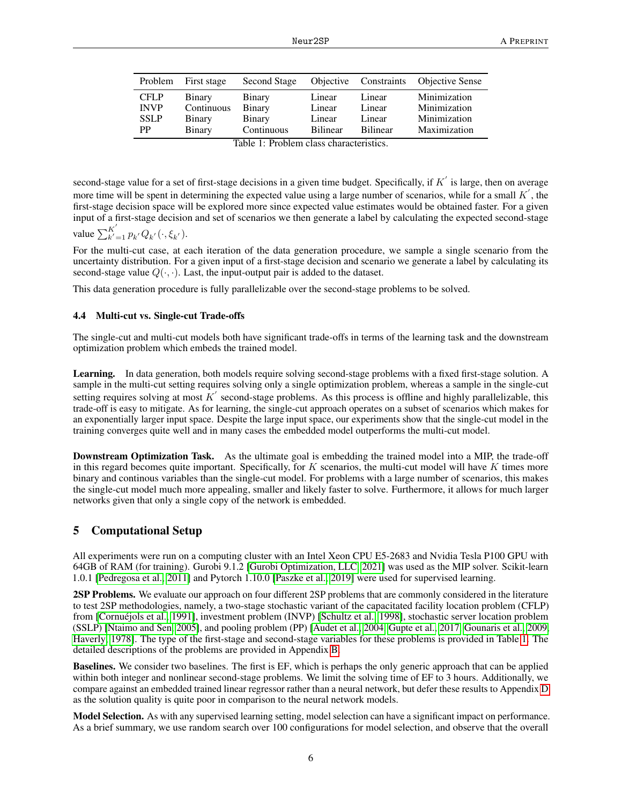| Problem     | First stage | <b>Second Stage</b> | Objective       | Constraints     | <b>Objective Sense</b> |
|-------------|-------------|---------------------|-----------------|-----------------|------------------------|
| <b>CFLP</b> | Binary      | <b>Binary</b>       | Linear          | Linear          | Minimization           |
| <b>INVP</b> | Continuous  | <b>Binary</b>       | Linear          | Linear          | Minimization           |
| <b>SSLP</b> | Binary      | <b>Binary</b>       | Linear          | Linear          | Minimization           |
| <b>PP</b>   | Binary      | Continuous          | <b>Bilinear</b> | <b>Bilinear</b> | Maximization           |

<span id="page-5-0"></span>Table 1: Problem class characteristics.

second-stage value for a set of first-stage decisions in a given time budget. Specifically, if  $K'$  is large, then on average more time will be spent in determining the expected value using a large number of scenarios, while for a small  $K'$ , the first-stage decision space will be explored more since expected value estimates would be obtained faster. For a given input of a first-stage decision and set of scenarios we then generate a label by calculating the expected second-stage  $\overline{a}$ 

value 
$$
\sum_{k'=1}^{K} p_{k'} Q_{k'}(\cdot, \xi_{k'})
$$
.

For the multi-cut case, at each iteration of the data generation procedure, we sample a single scenario from the uncertainty distribution. For a given input of a first-stage decision and scenario we generate a label by calculating its second-stage value  $Q(\cdot, \cdot)$ . Last, the input-output pair is added to the dataset.

This data generation procedure is fully parallelizable over the second-stage problems to be solved.

### 4.4 Multi-cut vs. Single-cut Trade-offs

The single-cut and multi-cut models both have significant trade-offs in terms of the learning task and the downstream optimization problem which embeds the trained model.

Learning. In data generation, both models require solving second-stage problems with a fixed first-stage solution. A sample in the multi-cut setting requires solving only a single optimization problem, whereas a sample in the single-cut setting requires solving at most  $K'$  second-stage problems. As this process is offline and highly parallelizable, this trade-off is easy to mitigate. As for learning, the single-cut approach operates on a subset of scenarios which makes for an exponentially larger input space. Despite the large input space, our experiments show that the single-cut model in the training converges quite well and in many cases the embedded model outperforms the multi-cut model.

Downstream Optimization Task. As the ultimate goal is embedding the trained model into a MIP, the trade-off in this regard becomes quite important. Specifically, for  $K$  scenarios, the multi-cut model will have  $K$  times more binary and continous variables than the single-cut model. For problems with a large number of scenarios, this makes the single-cut model much more appealing, smaller and likely faster to solve. Furthermore, it allows for much larger networks given that only a single copy of the network is embedded.

# 5 Computational Setup

All experiments were run on a computing cluster with an Intel Xeon CPU E5-2683 and Nvidia Tesla P100 GPU with 64GB of RAM (for training). Gurobi 9.1.2 [\[Gurobi Optimization, LLC, 2021\]](#page-10-17) was used as the MIP solver. Scikit-learn 1.0.1 [\[Pedregosa et al., 2011\]](#page-10-18) and Pytorch 1.10.0 [\[Paszke et al., 2019\]](#page-10-19) were used for supervised learning.

2SP Problems. We evaluate our approach on four different 2SP problems that are commonly considered in the literature to test 2SP methodologies, namely, a two-stage stochastic variant of the capacitated facility location problem (CFLP) from [\[Cornuéjols et al., 1991\]](#page-11-0), investment problem (INVP) [\[Schultz et al., 1998\]](#page-11-1), stochastic server location problem (SSLP) [\[Ntaimo and Sen, 2005\]](#page-11-2), and pooling problem (PP) [\[Audet et al., 2004,](#page-11-3) [Gupte et al., 2017,](#page-11-4) [Gounaris et al., 2009,](#page-11-5) [Haverly, 1978\]](#page-11-6). The type of the first-stage and second-stage variables for these problems is provided in Table [1.](#page-5-0) The detailed descriptions of the problems are provided in Appendix [B.](#page-12-1)

Baselines. We consider two baselines. The first is EF, which is perhaps the only generic approach that can be applied within both integer and nonlinear second-stage problems. We limit the solving time of EF to 3 hours. Additionally, we compare against an embedded trained linear regressor rather than a neural network, but defer these results to Appendix [D](#page-13-0) as the solution quality is quite poor in comparison to the neural network models.

Model Selection. As with any supervised learning setting, model selection can have a significant impact on performance. As a brief summary, we use random search over 100 configurations for model selection, and observe that the overall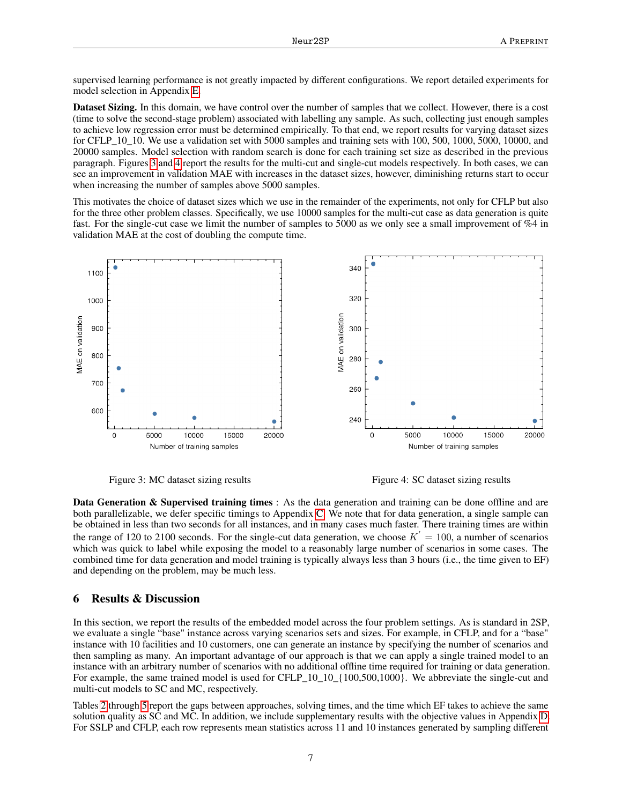supervised learning performance is not greatly impacted by different configurations. We report detailed experiments for model selection in Appendix [E.](#page-14-0)

Dataset Sizing. In this domain, we have control over the number of samples that we collect. However, there is a cost (time to solve the second-stage problem) associated with labelling any sample. As such, collecting just enough samples to achieve low regression error must be determined empirically. To that end, we report results for varying dataset sizes for CFLP<sub>\_10\_10</sub>. We use a validation set with 5000 samples and training sets with 100, 500, 1000, 5000, 10000, and 20000 samples. Model selection with random search is done for each training set size as described in the previous paragraph. Figures [3](#page-6-0) and [4](#page-6-1) report the results for the multi-cut and single-cut models respectively. In both cases, we can see an improvement in validation MAE with increases in the dataset sizes, however, diminishing returns start to occur when increasing the number of samples above 5000 samples.

This motivates the choice of dataset sizes which we use in the remainder of the experiments, not only for CFLP but also for the three other problem classes. Specifically, we use 10000 samples for the multi-cut case as data generation is quite fast. For the single-cut case we limit the number of samples to 5000 as we only see a small improvement of %4 in validation MAE at the cost of doubling the compute time.



<span id="page-6-0"></span>Figure 3: MC dataset sizing results Figure 4: SC dataset sizing results

<span id="page-6-1"></span>

Data Generation & Supervised training times : As the data generation and training can be done offline and are both parallelizable, we defer specific timings to Appendix [C.](#page-13-1) We note that for data generation, a single sample can be obtained in less than two seconds for all instances, and in many cases much faster. There training times are within the range of 120 to 2100 seconds. For the single-cut data generation, we choose  $K' = 100$ , a number of scenarios which was quick to label while exposing the model to a reasonably large number of scenarios in some cases. The combined time for data generation and model training is typically always less than 3 hours (i.e., the time given to EF) and depending on the problem, may be much less.

# 6 Results & Discussion

In this section, we report the results of the embedded model across the four problem settings. As is standard in 2SP, we evaluate a single "base" instance across varying scenarios sets and sizes. For example, in CFLP, and for a "base" instance with 10 facilities and 10 customers, one can generate an instance by specifying the number of scenarios and then sampling as many. An important advantage of our approach is that we can apply a single trained model to an instance with an arbitrary number of scenarios with no additional offline time required for training or data generation. For example, the same trained model is used for CFLP\_10\_10\_{100,500,1000}. We abbreviate the single-cut and multi-cut models to SC and MC, respectively.

Tables [2](#page-7-0) through [5](#page-8-0) report the gaps between approaches, solving times, and the time which EF takes to achieve the same solution quality as SC and MC. In addition, we include supplementary results with the objective values in Appendix [D.](#page-13-0) For SSLP and CFLP, each row represents mean statistics across 11 and 10 instances generated by sampling different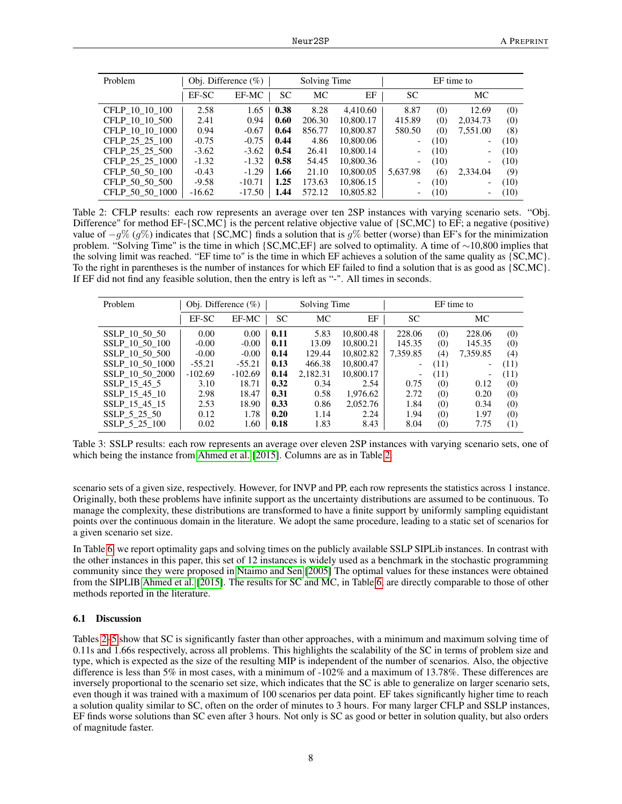<span id="page-7-0"></span>

| Problem         |          | Obj. Difference $(\% )$ |           | Solving Time |           | EF time to               |      |                              |      |
|-----------------|----------|-------------------------|-----------|--------------|-----------|--------------------------|------|------------------------------|------|
|                 | EF-SC    | EF-MC                   | <b>SC</b> | МC           | EF        | <b>SC</b>                |      | МC                           |      |
| CFLP 10 10 100  | 2.58     | 1.65                    | 0.38      | 8.28         | 4.410.60  | 8.87                     | (0)  | 12.69                        | (0)  |
| CFLP 10 10 500  | 2.41     | 0.94                    | 0.60      | 206.30       | 10,800.17 | 415.89                   | (0)  | 2.034.73                     | (0)  |
| CFLP 10 10 1000 | 0.94     | $-0.67$                 | 0.64      | 856.77       | 10,800.87 | 580.50                   | (0)  | 7.551.00                     | (8)  |
| CFLP 25 25 100  | $-0.75$  | $-0.75$                 | 0.44      | 4.86         | 10,800.06 | $\overline{\phantom{a}}$ | (10) | $\qquad \qquad \blacksquare$ | (10) |
| CFLP 25 25 500  | $-3.62$  | $-3.62$                 | 0.54      | 26.41        | 10,800.14 | $\overline{\phantom{a}}$ | (10) | $\overline{\phantom{a}}$     | (10) |
| CFLP 25 25 1000 | $-1.32$  | $-1.32$                 | 0.58      | 54.45        | 10,800.36 | $\overline{\phantom{0}}$ | (10) | $\overline{\phantom{a}}$     | (10) |
| CFLP 50 50 100  | $-0.43$  | $-1.29$                 | 1.66      | 21.10        | 10,800.05 | 5,637.98                 | (6)  | 2,334.04                     | (9)  |
| CFLP 50 50 500  | $-9.58$  | $-10.71$                | 1.25      | 173.63       | 10.806.15 | $\overline{\phantom{0}}$ | (10) | $\qquad \qquad \blacksquare$ | (10) |
| CFLP 50 50 1000 | $-16.62$ | $-17.50$                | 1.44      | 572.12       | 10,805.82 | $\overline{\phantom{0}}$ | (10) | $\qquad \qquad \blacksquare$ | (10) |

Table 2: CFLP results: each row represents an average over ten 2SP instances with varying scenario sets. "Obj. Difference" for method EF-{SC,MC} is the percent relative objective value of {SC,MC} to EF; a negative (positive) value of  $-g\%$  (g%) indicates that {SC,MC} finds a solution that is g% better (worse) than EF's for the minimization problem. "Solving Time" is the time in which {SC,MC,EF} are solved to optimality. A time of ∼10,800 implies that the solving limit was reached. "EF time to" is the time in which EF achieves a solution of the same quality as {SC,MC}. To the right in parentheses is the number of instances for which EF failed to find a solution that is as good as {SC,MC}. If EF did not find any feasible solution, then the entry is left as "-". All times in seconds.

| Problem         |           | Obj. Difference $(\%)$ |           | Solving Time |           |                          | EF time to |                          |      |
|-----------------|-----------|------------------------|-----------|--------------|-----------|--------------------------|------------|--------------------------|------|
|                 | EF-SC     | EF-MC                  | <b>SC</b> | МC           | EF        | <b>SC</b>                |            | МC                       |      |
| SSLP 10 50 50   | 0.00      | 0.00                   | 0.11      | 5.83         | 10,800.48 | 228.06                   | (0)        | 228.06                   | (0)  |
| SSLP 10 50 100  | $-0.00$   | $-0.00$                | 0.11      | 13.09        | 10,800.21 | 145.35                   | (0)        | 145.35                   | (0)  |
| SSLP 10 50 500  | $-0.00$   | $-0.00$                | 0.14      | 129.44       | 10.802.82 | 7.359.85                 | (4)        | 7,359.85                 | (4)  |
| SSLP 10 50 1000 | $-55.21$  | $-55.21$               | 0.13      | 466.38       | 10,800.47 | $\overline{\phantom{a}}$ | (11)       | $\overline{\phantom{0}}$ | (11) |
| SSLP 10 50 2000 | $-102.69$ | $-102.69$              | 0.14      | 2,182.31     | 10,800.17 | $\overline{\phantom{a}}$ | (11)       | $\overline{\phantom{a}}$ | (11) |
| SSLP 15 45 5    | 3.10      | 18.71                  | 0.32      | 0.34         | 2.54      | 0.75                     | (0)        | 0.12                     | (0)  |
| SSLP 15 45 10   | 2.98      | 18.47                  | 0.31      | 0.58         | 1.976.62  | 2.72                     | (0)        | 0.20                     | (0)  |
| SSLP 15 45 15   | 2.53      | 18.90                  | 0.33      | 0.86         | 2,052.76  | 1.84                     | (0)        | 0.34                     | (0)  |
| SSLP 5 25 50    | 0.12      | 1.78                   | 0.20      | 1.14         | 2.24      | 1.94                     | (0)        | 1.97                     | (0)  |
| SSLP 5 25 100   | 0.02      | 1.60                   | 0.18      | 1.83         | 8.43      | 8.04                     | (0)        | 7.75                     | (1)  |

Table 3: SSLP results: each row represents an average over eleven 2SP instances with varying scenario sets, one of which being the instance from [Ahmed et al.](#page-11-7) [\[2015\]](#page-11-7). Columns are as in Table [2.](#page-7-0)

scenario sets of a given size, respectively. However, for INVP and PP, each row represents the statistics across 1 instance. Originally, both these problems have infinite support as the uncertainty distributions are assumed to be continuous. To manage the complexity, these distributions are transformed to have a finite support by uniformly sampling equidistant points over the continuous domain in the literature. We adopt the same procedure, leading to a static set of scenarios for a given scenario set size.

In Table [6,](#page-9-0) we report optimality gaps and solving times on the publicly available SSLP SIPLib instances. In contrast with the other instances in this paper, this set of 12 instances is widely used as a benchmark in the stochastic programming community since they were proposed in [Ntaimo and Sen](#page-11-2) [\[2005\]](#page-11-2) The optimal values for these instances were obtained from the SIPLIB [Ahmed et al.](#page-11-7) [\[2015\]](#page-11-7). The results for SC and MC, in Table [6,](#page-9-0) are directly comparable to those of other methods reported in the literature.

#### 6.1 Discussion

Tables [2–](#page-7-0)[5](#page-8-0) show that SC is significantly faster than other approaches, with a minimum and maximum solving time of 0.11s and 1.66s respectively, across all problems. This highlights the scalability of the SC in terms of problem size and type, which is expected as the size of the resulting MIP is independent of the number of scenarios. Also, the objective difference is less than 5% in most cases, with a minimum of -102% and a maximum of 13.78%. These differences are inversely proportional to the scenario set size, which indicates that the SC is able to generalize on larger scenario sets, even though it was trained with a maximum of 100 scenarios per data point. EF takes significantly higher time to reach a solution quality similar to SC, often on the order of minutes to 3 hours. For many larger CFLP and SSLP instances, EF finds worse solutions than SC even after 3 hours. Not only is SC as good or better in solution quality, but also orders of magnitude faster.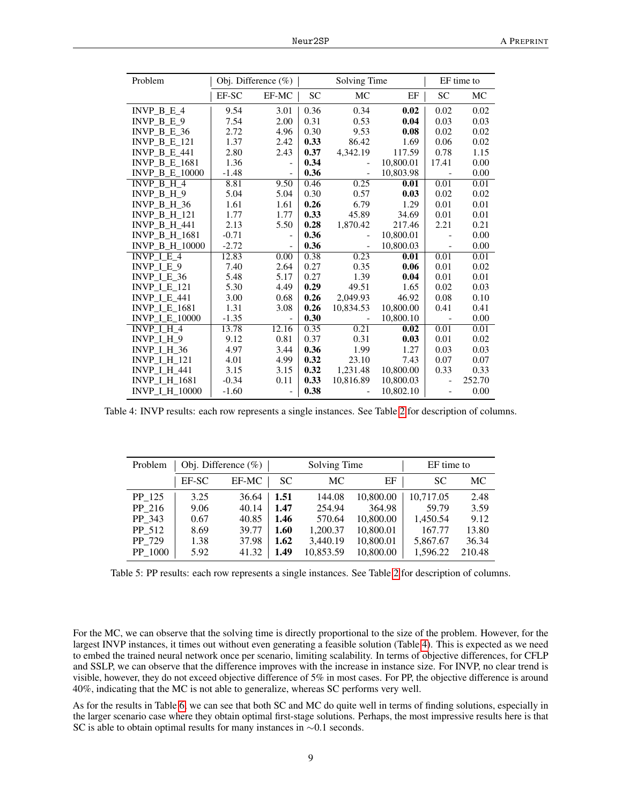<span id="page-8-1"></span>

| Problem               |         | Obj. Difference $(\% )$  | Solving Time |                          |           |                          | EF time to |
|-----------------------|---------|--------------------------|--------------|--------------------------|-----------|--------------------------|------------|
|                       | EF-SC   | EF-MC                    | <b>SC</b>    | <b>MC</b>                | EF        | <b>SC</b>                | MC         |
| INVP $B E 4$          | 9.54    | 3.01                     | 0.36         | 0.34                     | 0.02      | 0.02                     | 0.02       |
| INVP $B E 9$          | 7.54    | 2.00                     | 0.31         | 0.53                     | 0.04      | 0.03                     | 0.03       |
| INVP B E $36$         | 2.72    | 4.96                     | 0.30         | 9.53                     | 0.08      | 0.02                     | 0.02       |
| <b>INVP B E 121</b>   | 1.37    | 2.42                     | 0.33         | 86.42                    | 1.69      | 0.06                     | 0.02       |
| INVP B E $441$        | 2.80    | 2.43                     | 0.37         | 4,342.19                 | 117.59    | 0.78                     | 1.15       |
| <b>INVP B E 1681</b>  | 1.36    | $\overline{\phantom{0}}$ | 0.34         | $\overline{\phantom{0}}$ | 10,800.01 | 17.41                    | 0.00       |
| <b>INVP B E 10000</b> | $-1.48$ |                          | 0.36         |                          | 10,803.98 |                          | 0.00       |
| INVP B H 4            | 8.81    | 9.50                     | 0.46         | 0.25                     | 0.01      | 0.01                     | 0.01       |
| INVP $B$ H $9$        | 5.04    | 5.04                     | 0.30         | 0.57                     | 0.03      | 0.02                     | 0.02       |
| INVP B H 36           | 1.61    | 1.61                     | 0.26         | 6.79                     | 1.29      | 0.01                     | 0.01       |
| <b>INVP B H 121</b>   | 1.77    | 1.77                     | 0.33         | 45.89                    | 34.69     | 0.01                     | 0.01       |
| <b>INVP B H 441</b>   | 2.13    | 5.50                     | 0.28         | 1,870.42                 | 217.46    | 2.21                     | 0.21       |
| <b>INVP B H 1681</b>  | $-0.71$ | $\overline{\phantom{a}}$ | 0.36         |                          | 10,800.01 |                          | 0.00       |
| <b>INVP B H 10000</b> | $-2.72$ | $\overline{a}$           | 0.36         | $\overline{a}$           | 10,800.03 |                          | 0.00       |
| INVP $I E 4$          | 12.83   | 0.00                     | 0.38         | 0.23                     | 0.01      | 0.01                     | 0.01       |
| INVP $I E 9$          | 7.40    | 2.64                     | 0.27         | 0.35                     | 0.06      | 0.01                     | 0.02       |
| INVP $I$ E 36         | 5.48    | 5.17                     | 0.27         | 1.39                     | 0.04      | 0.01                     | 0.01       |
| <b>INVP I E 121</b>   | 5.30    | 4.49                     | 0.29         | 49.51                    | 1.65      | 0.02                     | 0.03       |
| <b>INVP I E 441</b>   | 3.00    | 0.68                     | 0.26         | 2,049.93                 | 46.92     | 0.08                     | 0.10       |
| <b>INVP I E 1681</b>  | 1.31    | 3.08                     | 0.26         | 10,834.53                | 10,800.00 | 0.41                     | 0.41       |
| <b>INVP I E 10000</b> | $-1.35$ | $\overline{\phantom{0}}$ | 0.30         |                          | 10,800.10 |                          | 0.00       |
| INVP $I$ H 4          | 13.78   | 12.16                    | 0.35         | 0.21                     | 0.02      | 0.01                     | 0.01       |
| INVP I H 9            | 9.12    | 0.81                     | 0.37         | 0.31                     | 0.03      | 0.01                     | 0.02       |
| <b>INVP I H 36</b>    | 4.97    | 3.44                     | 0.36         | 1.99                     | 1.27      | 0.03                     | 0.03       |
| <b>INVP I H 121</b>   | 4.01    | 4.99                     | 0.32         | 23.10                    | 7.43      | 0.07                     | 0.07       |
| <b>INVP I H 441</b>   | 3.15    | 3.15                     | 0.32         | 1,231.48                 | 10,800.00 | 0.33                     | 0.33       |
| <b>INVP I H 1681</b>  | $-0.34$ | 0.11                     | 0.33         | 10,816.89                | 10,800.03 |                          | 252.70     |
| <b>INVP I H 10000</b> | $-1.60$ | $\frac{1}{2}$            | 0.38         |                          | 10,802.10 | $\overline{\phantom{a}}$ | 0.00       |

Table 4: INVP results: each row represents a single instances. See Table [2](#page-7-0) for description of columns.

<span id="page-8-0"></span>

| Problem | Obj. Difference $(\% )$ |       |      | Solving Time |           | EF time to |        |  |
|---------|-------------------------|-------|------|--------------|-----------|------------|--------|--|
|         | EF-SC                   | EF-MC | SC.  | МC           | ΕF        | SC         | МC     |  |
| PP 125  | 3.25                    | 36.64 | 1.51 | 144.08       | 10,800.00 | 10,717.05  | 2.48   |  |
| PP 216  | 9.06                    | 40.14 | 1.47 | 254.94       | 364.98    | 59.79      | 3.59   |  |
| PP 343  | 0.67                    | 40.85 | 1.46 | 570.64       | 10,800.00 | 1,450.54   | 9.12   |  |
| PP 512  | 8.69                    | 39.77 | 1.60 | 1,200.37     | 10,800.01 | 167.77     | 13.80  |  |
| PP 729  | 1.38                    | 37.98 | 1.62 | 3,440.19     | 10,800.01 | 5,867.67   | 36.34  |  |
| PP 1000 | 5.92                    | 41.32 | 1.49 | 10,853.59    | 10,800.00 | 1,596.22   | 210.48 |  |

Table 5: PP results: each row represents a single instances. See Table [2](#page-7-0) for description of columns.

For the MC, we can observe that the solving time is directly proportional to the size of the problem. However, for the largest INVP instances, it times out without even generating a feasible solution (Table [4\)](#page-8-1). This is expected as we need to embed the trained neural network once per scenario, limiting scalability. In terms of objective differences, for CFLP and SSLP, we can observe that the difference improves with the increase in instance size. For INVP, no clear trend is visible, however, they do not exceed objective difference of 5% in most cases. For PP, the objective difference is around 40%, indicating that the MC is not able to generalize, whereas SC performs very well.

As for the results in Table [6,](#page-9-0) we can see that both SC and MC do quite well in terms of finding solutions, especially in the larger scenario case where they obtain optimal first-stage solutions. Perhaps, the most impressive results here is that SC is able to obtain optimal results for many instances in ∼0.1 seconds.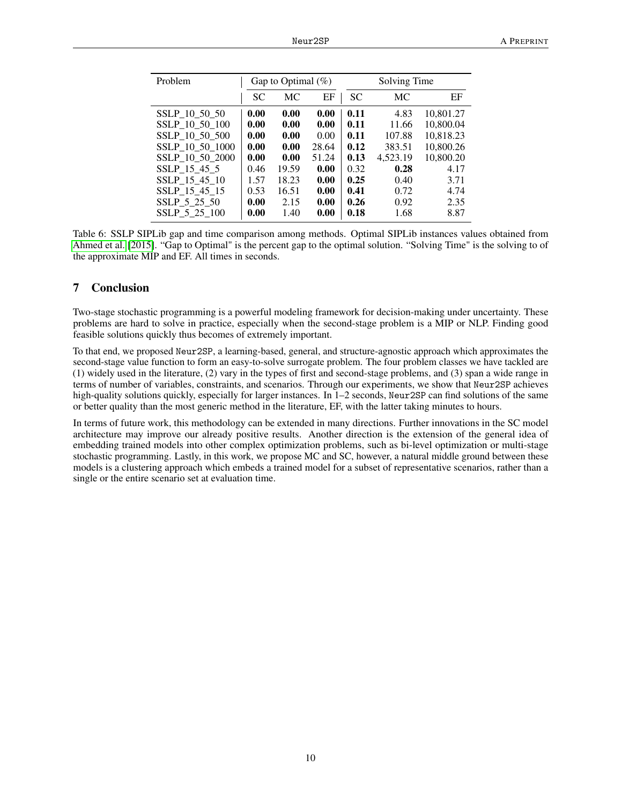<span id="page-9-0"></span>

| Problem         |           | Gap to Optimal $(\%)$ |       | Solving Time |           |           |  |
|-----------------|-----------|-----------------------|-------|--------------|-----------|-----------|--|
|                 | <b>SC</b> | МC                    | EF    | <b>SC</b>    | <b>MC</b> | EF        |  |
| SSLP 10 50 50   | 0.00      | 0.00                  | 0.00  | 0.11         | 4.83      | 10,801.27 |  |
| SSLP 10 50 100  | 0.00      | 0.00                  | 0.00  | 0.11         | 11.66     | 10,800.04 |  |
| SSLP 10 50 500  | 0.00      | 0.00                  | 0.00  | 0.11         | 107.88    | 10,818.23 |  |
| SSLP 10 50 1000 | 0.00      | 0.00                  | 28.64 | 0.12         | 383.51    | 10,800.26 |  |
| SSLP 10 50 2000 | 0.00      | 0.00                  | 51.24 | 0.13         | 4.523.19  | 10,800.20 |  |
| SSLP 15 45 5    | 0.46      | 19.59                 | 0.00  | 0.32         | 0.28      | 4.17      |  |
| SSLP 15 45 10   | 1.57      | 18.23                 | 0.00  | 0.25         | 0.40      | 3.71      |  |
| SSLP 15 45 15   | 0.53      | 16.51                 | 0.00  | 0.41         | 0.72      | 4.74      |  |
| SSLP 5 25 50    | 0.00      | 2.15                  | 0.00  | 0.26         | 0.92      | 2.35      |  |
| SSLP 5 25 100   | 0.00      | 1.40                  | 0.00  | 0.18         | 1.68      | 8.87      |  |

Table 6: SSLP SIPLib gap and time comparison among methods. Optimal SIPLib instances values obtained from [Ahmed et al.](#page-11-7) [\[2015\]](#page-11-7). "Gap to Optimal" is the percent gap to the optimal solution. "Solving Time" is the solving to of the approximate MIP and EF. All times in seconds.

# 7 Conclusion

Two-stage stochastic programming is a powerful modeling framework for decision-making under uncertainty. These problems are hard to solve in practice, especially when the second-stage problem is a MIP or NLP. Finding good feasible solutions quickly thus becomes of extremely important.

To that end, we proposed Neur2SP, a learning-based, general, and structure-agnostic approach which approximates the second-stage value function to form an easy-to-solve surrogate problem. The four problem classes we have tackled are (1) widely used in the literature, (2) vary in the types of first and second-stage problems, and (3) span a wide range in terms of number of variables, constraints, and scenarios. Through our experiments, we show that Neur2SP achieves high-quality solutions quickly, especially for larger instances. In 1–2 seconds, Neur2SP can find solutions of the same or better quality than the most generic method in the literature, EF, with the latter taking minutes to hours.

In terms of future work, this methodology can be extended in many directions. Further innovations in the SC model architecture may improve our already positive results. Another direction is the extension of the general idea of embedding trained models into other complex optimization problems, such as bi-level optimization or multi-stage stochastic programming. Lastly, in this work, we propose MC and SC, however, a natural middle ground between these models is a clustering approach which embeds a trained model for a subset of representative scenarios, rather than a single or the entire scenario set at evaluation time.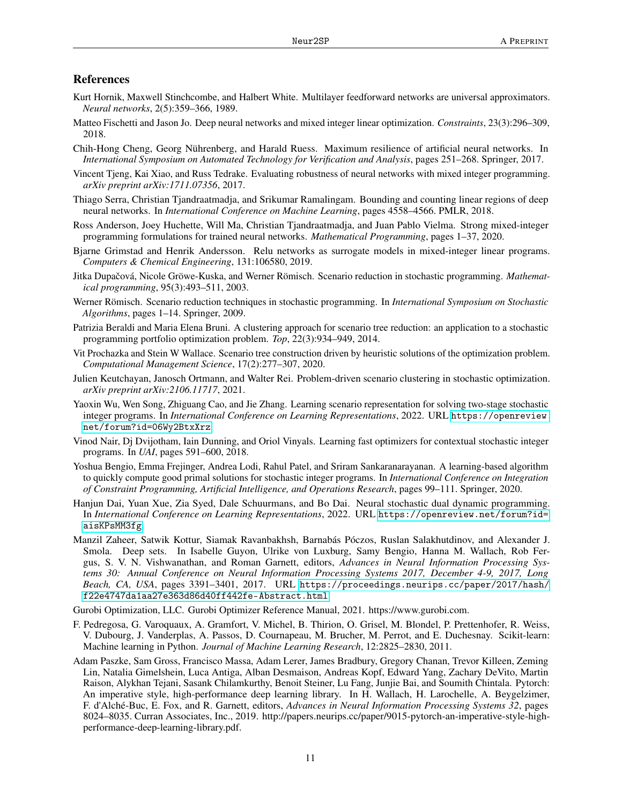### References

- <span id="page-10-0"></span>Kurt Hornik, Maxwell Stinchcombe, and Halbert White. Multilayer feedforward networks are universal approximators. *Neural networks*, 2(5):359–366, 1989.
- <span id="page-10-1"></span>Matteo Fischetti and Jason Jo. Deep neural networks and mixed integer linear optimization. *Constraints*, 23(3):296–309, 2018.
- <span id="page-10-2"></span>Chih-Hong Cheng, Georg Nührenberg, and Harald Ruess. Maximum resilience of artificial neural networks. In *International Symposium on Automated Technology for Verification and Analysis*, pages 251–268. Springer, 2017.
- <span id="page-10-3"></span>Vincent Tjeng, Kai Xiao, and Russ Tedrake. Evaluating robustness of neural networks with mixed integer programming. *arXiv preprint arXiv:1711.07356*, 2017.
- <span id="page-10-4"></span>Thiago Serra, Christian Tjandraatmadja, and Srikumar Ramalingam. Bounding and counting linear regions of deep neural networks. In *International Conference on Machine Learning*, pages 4558–4566. PMLR, 2018.
- <span id="page-10-5"></span>Ross Anderson, Joey Huchette, Will Ma, Christian Tjandraatmadja, and Juan Pablo Vielma. Strong mixed-integer programming formulations for trained neural networks. *Mathematical Programming*, pages 1–37, 2020.
- <span id="page-10-6"></span>Bjarne Grimstad and Henrik Andersson. Relu networks as surrogate models in mixed-integer linear programs. *Computers & Chemical Engineering*, 131:106580, 2019.
- <span id="page-10-7"></span>Jitka Dupačová, Nicole Gröwe-Kuska, and Werner Römisch. Scenario reduction in stochastic programming. *Mathematical programming*, 95(3):493–511, 2003.
- <span id="page-10-8"></span>Werner Römisch. Scenario reduction techniques in stochastic programming. In *International Symposium on Stochastic Algorithms*, pages 1–14. Springer, 2009.
- <span id="page-10-9"></span>Patrizia Beraldi and Maria Elena Bruni. A clustering approach for scenario tree reduction: an application to a stochastic programming portfolio optimization problem. *Top*, 22(3):934–949, 2014.
- <span id="page-10-10"></span>Vit Prochazka and Stein W Wallace. Scenario tree construction driven by heuristic solutions of the optimization problem. *Computational Management Science*, 17(2):277–307, 2020.
- <span id="page-10-11"></span>Julien Keutchayan, Janosch Ortmann, and Walter Rei. Problem-driven scenario clustering in stochastic optimization. *arXiv preprint arXiv:2106.11717*, 2021.
- <span id="page-10-12"></span>Yaoxin Wu, Wen Song, Zhiguang Cao, and Jie Zhang. Learning scenario representation for solving two-stage stochastic integer programs. In *International Conference on Learning Representations*, 2022. URL [https://openreview.](https://openreview.net/forum?id=06Wy2BtxXrz) [net/forum?id=06Wy2BtxXrz](https://openreview.net/forum?id=06Wy2BtxXrz).
- <span id="page-10-13"></span>Vinod Nair, Dj Dvijotham, Iain Dunning, and Oriol Vinyals. Learning fast optimizers for contextual stochastic integer programs. In *UAI*, pages 591–600, 2018.
- <span id="page-10-14"></span>Yoshua Bengio, Emma Frejinger, Andrea Lodi, Rahul Patel, and Sriram Sankaranarayanan. A learning-based algorithm to quickly compute good primal solutions for stochastic integer programs. In *International Conference on Integration of Constraint Programming, Artificial Intelligence, and Operations Research*, pages 99–111. Springer, 2020.
- <span id="page-10-15"></span>Hanjun Dai, Yuan Xue, Zia Syed, Dale Schuurmans, and Bo Dai. Neural stochastic dual dynamic programming. In *International Conference on Learning Representations*, 2022. URL [https://openreview.net/forum?id=](https://openreview.net/forum?id=aisKPsMM3fg) [aisKPsMM3fg](https://openreview.net/forum?id=aisKPsMM3fg).
- <span id="page-10-16"></span>Manzil Zaheer, Satwik Kottur, Siamak Ravanbakhsh, Barnabás Póczos, Ruslan Salakhutdinov, and Alexander J. Smola. Deep sets. In Isabelle Guyon, Ulrike von Luxburg, Samy Bengio, Hanna M. Wallach, Rob Fergus, S. V. N. Vishwanathan, and Roman Garnett, editors, *Advances in Neural Information Processing Systems 30: Annual Conference on Neural Information Processing Systems 2017, December 4-9, 2017, Long Beach, CA, USA*, pages 3391–3401, 2017. URL [https://proceedings.neurips.cc/paper/2017/hash/](https://proceedings.neurips.cc/paper/2017/hash/f22e4747da1aa27e363d86d40ff442fe-Abstract.html) [f22e4747da1aa27e363d86d40ff442fe-Abstract.html](https://proceedings.neurips.cc/paper/2017/hash/f22e4747da1aa27e363d86d40ff442fe-Abstract.html).

<span id="page-10-17"></span>Gurobi Optimization, LLC. Gurobi Optimizer Reference Manual, 2021. https://www.gurobi.com.

- <span id="page-10-18"></span>F. Pedregosa, G. Varoquaux, A. Gramfort, V. Michel, B. Thirion, O. Grisel, M. Blondel, P. Prettenhofer, R. Weiss, V. Dubourg, J. Vanderplas, A. Passos, D. Cournapeau, M. Brucher, M. Perrot, and E. Duchesnay. Scikit-learn: Machine learning in Python. *Journal of Machine Learning Research*, 12:2825–2830, 2011.
- <span id="page-10-19"></span>Adam Paszke, Sam Gross, Francisco Massa, Adam Lerer, James Bradbury, Gregory Chanan, Trevor Killeen, Zeming Lin, Natalia Gimelshein, Luca Antiga, Alban Desmaison, Andreas Kopf, Edward Yang, Zachary DeVito, Martin Raison, Alykhan Tejani, Sasank Chilamkurthy, Benoit Steiner, Lu Fang, Junjie Bai, and Soumith Chintala. Pytorch: An imperative style, high-performance deep learning library. In H. Wallach, H. Larochelle, A. Beygelzimer, F. d'Alché-Buc, E. Fox, and R. Garnett, editors, *Advances in Neural Information Processing Systems 32*, pages 8024–8035. Curran Associates, Inc., 2019. http://papers.neurips.cc/paper/9015-pytorch-an-imperative-style-highperformance-deep-learning-library.pdf.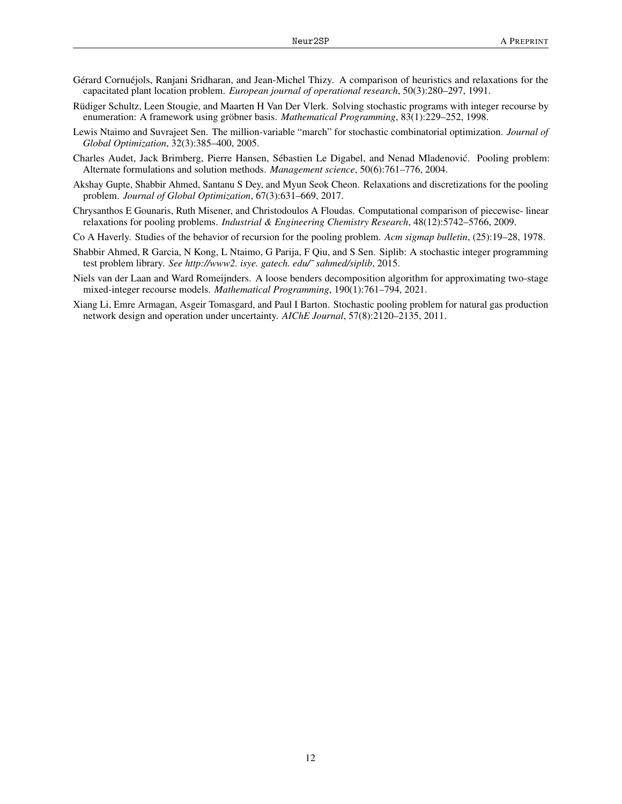- <span id="page-11-0"></span>Gérard Cornuéjols, Ranjani Sridharan, and Jean-Michel Thizy. A comparison of heuristics and relaxations for the capacitated plant location problem. *European journal of operational research*, 50(3):280–297, 1991.
- <span id="page-11-1"></span>Rüdiger Schultz, Leen Stougie, and Maarten H Van Der Vlerk. Solving stochastic programs with integer recourse by enumeration: A framework using gröbner basis. *Mathematical Programming*, 83(1):229–252, 1998.
- <span id="page-11-2"></span>Lewis Ntaimo and Suvrajeet Sen. The million-variable "march" for stochastic combinatorial optimization. *Journal of Global Optimization*, 32(3):385–400, 2005.
- <span id="page-11-3"></span>Charles Audet, Jack Brimberg, Pierre Hansen, Sébastien Le Digabel, and Nenad Mladenovic. Pooling problem: ´ Alternate formulations and solution methods. *Management science*, 50(6):761–776, 2004.
- <span id="page-11-4"></span>Akshay Gupte, Shabbir Ahmed, Santanu S Dey, and Myun Seok Cheon. Relaxations and discretizations for the pooling problem. *Journal of Global Optimization*, 67(3):631–669, 2017.
- <span id="page-11-5"></span>Chrysanthos E Gounaris, Ruth Misener, and Christodoulos A Floudas. Computational comparison of piecewise- linear relaxations for pooling problems. *Industrial & Engineering Chemistry Research*, 48(12):5742–5766, 2009.
- <span id="page-11-6"></span>Co A Haverly. Studies of the behavior of recursion for the pooling problem. *Acm sigmap bulletin*, (25):19–28, 1978.
- <span id="page-11-7"></span>Shabbir Ahmed, R Garcia, N Kong, L Ntaimo, G Parija, F Qiu, and S Sen. Siplib: A stochastic integer programming test problem library. *See http://www2. isye. gatech. edu/˜ sahmed/siplib*, 2015.
- <span id="page-11-8"></span>Niels van der Laan and Ward Romeijnders. A loose benders decomposition algorithm for approximating two-stage mixed-integer recourse models. *Mathematical Programming*, 190(1):761–794, 2021.
- <span id="page-11-9"></span>Xiang Li, Emre Armagan, Asgeir Tomasgard, and Paul I Barton. Stochastic pooling problem for natural gas production network design and operation under uncertainty. *AIChE Journal*, 57(8):2120–2135, 2011.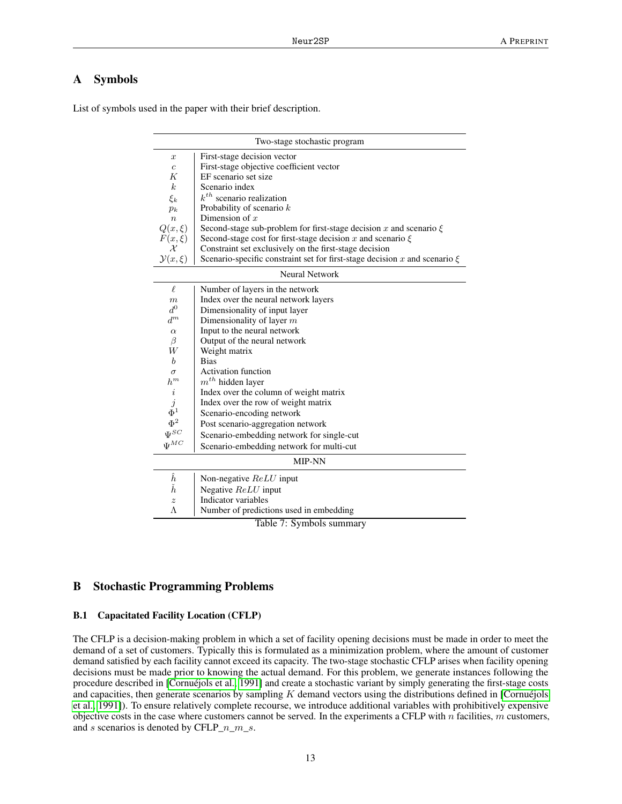# <span id="page-12-0"></span>A Symbols

List of symbols used in the paper with their brief description.

|                      | Two-stage stochastic program                                                   |  |  |  |  |  |  |  |  |
|----------------------|--------------------------------------------------------------------------------|--|--|--|--|--|--|--|--|
| $\boldsymbol{x}$     | First-stage decision vector                                                    |  |  |  |  |  |  |  |  |
| $\overline{c}$       | First-stage objective coefficient vector                                       |  |  |  |  |  |  |  |  |
| K                    | EF scenario set size                                                           |  |  |  |  |  |  |  |  |
| $\boldsymbol{k}$     | Scenario index                                                                 |  |  |  |  |  |  |  |  |
| $\xi_k$              | $k^{th}$ scenario realization                                                  |  |  |  |  |  |  |  |  |
| $p_k$                | Probability of scenario $k$                                                    |  |  |  |  |  |  |  |  |
| $\eta$               | Dimension of $x$                                                               |  |  |  |  |  |  |  |  |
| $Q(x,\xi)$           | Second-stage sub-problem for first-stage decision x and scenario $\xi$         |  |  |  |  |  |  |  |  |
| $F(x,\xi)$           | Second-stage cost for first-stage decision x and scenario $\xi$                |  |  |  |  |  |  |  |  |
| $\mathcal{X}$        | Constraint set exclusively on the first-stage decision                         |  |  |  |  |  |  |  |  |
| $\mathcal{Y}(x,\xi)$ | Scenario-specific constraint set for first-stage decision x and scenario $\xi$ |  |  |  |  |  |  |  |  |
|                      | <b>Neural Network</b>                                                          |  |  |  |  |  |  |  |  |
| $\ell$               | Number of layers in the network                                                |  |  |  |  |  |  |  |  |
| $\boldsymbol{m}$     | Index over the neural network layers                                           |  |  |  |  |  |  |  |  |
| $d^0$                | Dimensionality of input layer                                                  |  |  |  |  |  |  |  |  |
| $d^m$                | Dimensionality of layer $m$                                                    |  |  |  |  |  |  |  |  |
| $\alpha$             | Input to the neural network                                                    |  |  |  |  |  |  |  |  |
| β                    | Output of the neural network                                                   |  |  |  |  |  |  |  |  |
| W                    | Weight matrix                                                                  |  |  |  |  |  |  |  |  |
| $\boldsymbol{b}$     | <b>Bias</b>                                                                    |  |  |  |  |  |  |  |  |
| $\sigma$             | <b>Activation function</b>                                                     |  |  |  |  |  |  |  |  |
| $\boldsymbol{h}^m$   | $m^{th}$ hidden layer                                                          |  |  |  |  |  |  |  |  |
| $\it i$              | Index over the column of weight matrix                                         |  |  |  |  |  |  |  |  |
| $\boldsymbol{j}$     | Index over the row of weight matrix                                            |  |  |  |  |  |  |  |  |
| $\Phi^1$             | Scenario-encoding network                                                      |  |  |  |  |  |  |  |  |
| $\Phi^2$             | Post scenario-aggregation network                                              |  |  |  |  |  |  |  |  |
| $\Psi^{SC}$          | Scenario-embedding network for single-cut                                      |  |  |  |  |  |  |  |  |
| $\Psi^{MC}$          | Scenario-embedding network for multi-cut                                       |  |  |  |  |  |  |  |  |
|                      | <b>MIP-NN</b>                                                                  |  |  |  |  |  |  |  |  |
| $\hat{h}$            | Non-negative ReLU input                                                        |  |  |  |  |  |  |  |  |
| ň                    | Negative ReLU input                                                            |  |  |  |  |  |  |  |  |
| $\boldsymbol{z}$     | Indicator variables                                                            |  |  |  |  |  |  |  |  |
| Λ                    | Number of predictions used in embedding                                        |  |  |  |  |  |  |  |  |
|                      | Table 7: Symbols summary                                                       |  |  |  |  |  |  |  |  |

# <span id="page-12-1"></span>B Stochastic Programming Problems

#### B.1 Capacitated Facility Location (CFLP)

The CFLP is a decision-making problem in which a set of facility opening decisions must be made in order to meet the demand of a set of customers. Typically this is formulated as a minimization problem, where the amount of customer demand satisfied by each facility cannot exceed its capacity. The two-stage stochastic CFLP arises when facility opening decisions must be made prior to knowing the actual demand. For this problem, we generate instances following the procedure described in [\[Cornuéjols et al., 1991\]](#page-11-0) and create a stochastic variant by simply generating the first-stage costs and capacities, then generate scenarios by sampling  $K$  demand vectors using the distributions defined in [\[Cornuéjols](#page-11-0) [et al., 1991\]](#page-11-0)). To ensure relatively complete recourse, we introduce additional variables with prohibitively expensive objective costs in the case where customers cannot be served. In the experiments a CFLP with  $n$  facilities,  $m$  customers, and s scenarios is denoted by CFLP\_ $n_{m}$ \_s.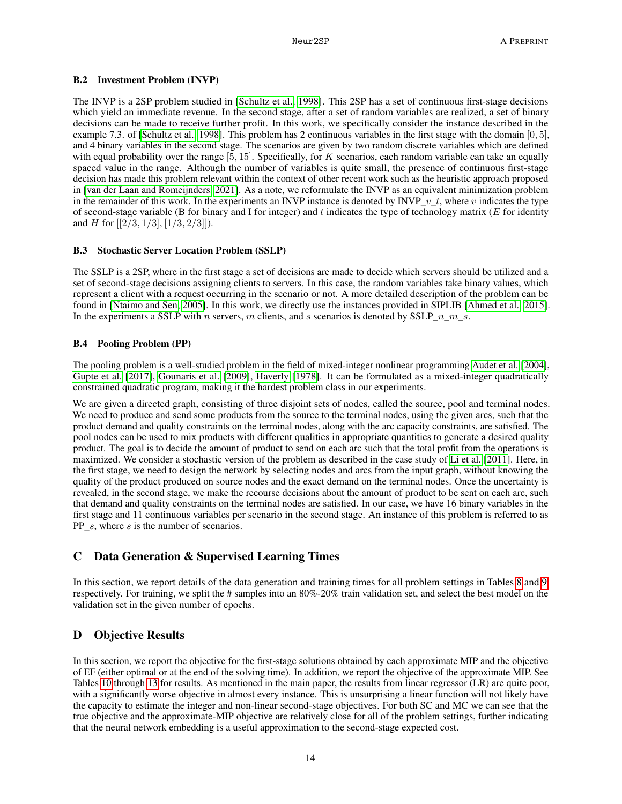#### B.2 Investment Problem (INVP)

The INVP is a 2SP problem studied in [\[Schultz et al., 1998\]](#page-11-1). This 2SP has a set of continuous first-stage decisions which yield an immediate revenue. In the second stage, after a set of random variables are realized, a set of binary decisions can be made to receive further profit. In this work, we specifically consider the instance described in the example 7.3. of [\[Schultz et al., 1998\]](#page-11-1). This problem has 2 continuous variables in the first stage with the domain [0, 5], and 4 binary variables in the second stage. The scenarios are given by two random discrete variables which are defined with equal probability over the range  $[5, 15]$ . Specifically, for K scenarios, each random variable can take an equally spaced value in the range. Although the number of variables is quite small, the presence of continuous first-stage decision has made this problem relevant within the context of other recent work such as the heuristic approach proposed in [\[van der Laan and Romeijnders, 2021\]](#page-11-8). As a note, we reformulate the INVP as an equivalent minimization problem in the remainder of this work. In the experiments an INVP instance is denoted by INVP\_ $v_t$ , where v indicates the type of second-stage variable (B for binary and I for integer) and t indicates the type of technology matrix ( $E$  for identity and H for  $[[2/3, 1/3], [1/3, 2/3]]$ .

### B.3 Stochastic Server Location Problem (SSLP)

The SSLP is a 2SP, where in the first stage a set of decisions are made to decide which servers should be utilized and a set of second-stage decisions assigning clients to servers. In this case, the random variables take binary values, which represent a client with a request occurring in the scenario or not. A more detailed description of the problem can be found in [\[Ntaimo and Sen, 2005\]](#page-11-2). In this work, we directly use the instances provided in SIPLIB [\[Ahmed et al., 2015\]](#page-11-7). In the experiments a SSLP with n servers, m clients, and s scenarios is denoted by  $SSLP_n_m$ .

#### B.4 Pooling Problem (PP)

The pooling problem is a well-studied problem in the field of mixed-integer nonlinear programming [Audet et al.](#page-11-3) [\[2004\]](#page-11-3), [Gupte et al.](#page-11-4) [\[2017\]](#page-11-4), [Gounaris et al.](#page-11-5) [\[2009\]](#page-11-5), [Haverly](#page-11-6) [\[1978\]](#page-11-6). It can be formulated as a mixed-integer quadratically constrained quadratic program, making it the hardest problem class in our experiments.

We are given a directed graph, consisting of three disjoint sets of nodes, called the source, pool and terminal nodes. We need to produce and send some products from the source to the terminal nodes, using the given arcs, such that the product demand and quality constraints on the terminal nodes, along with the arc capacity constraints, are satisfied. The pool nodes can be used to mix products with different qualities in appropriate quantities to generate a desired quality product. The goal is to decide the amount of product to send on each arc such that the total profit from the operations is maximized. We consider a stochastic version of the problem as described in the case study of [Li et al.](#page-11-9) [\[2011\]](#page-11-9). Here, in the first stage, we need to design the network by selecting nodes and arcs from the input graph, without knowing the quality of the product produced on source nodes and the exact demand on the terminal nodes. Once the uncertainty is revealed, in the second stage, we make the recourse decisions about the amount of product to be sent on each arc, such that demand and quality constraints on the terminal nodes are satisfied. In our case, we have 16 binary variables in the first stage and 11 continuous variables per scenario in the second stage. An instance of this problem is referred to as PP s, where s is the number of scenarios.

# <span id="page-13-1"></span>C Data Generation & Supervised Learning Times

In this section, we report details of the data generation and training times for all problem settings in Tables [8](#page-14-1) and [9,](#page-14-2) respectively. For training, we split the # samples into an 80%-20% train validation set, and select the best model on the validation set in the given number of epochs.

# <span id="page-13-0"></span>D Objective Results

In this section, we report the objective for the first-stage solutions obtained by each approximate MIP and the objective of EF (either optimal or at the end of the solving time). In addition, we report the objective of the approximate MIP. See Tables [10](#page-15-0) through [13](#page-16-0) for results. As mentioned in the main paper, the results from linear regressor (LR) are quite poor, with a significantly worse objective in almost every instance. This is unsurprising a linear function will not likely have the capacity to estimate the integer and non-linear second-stage objectives. For both SC and MC we can see that the true objective and the approximate-MIP objective are relatively close for all of the problem settings, further indicating that the neural network embedding is a useful approximation to the second-stage expected cost.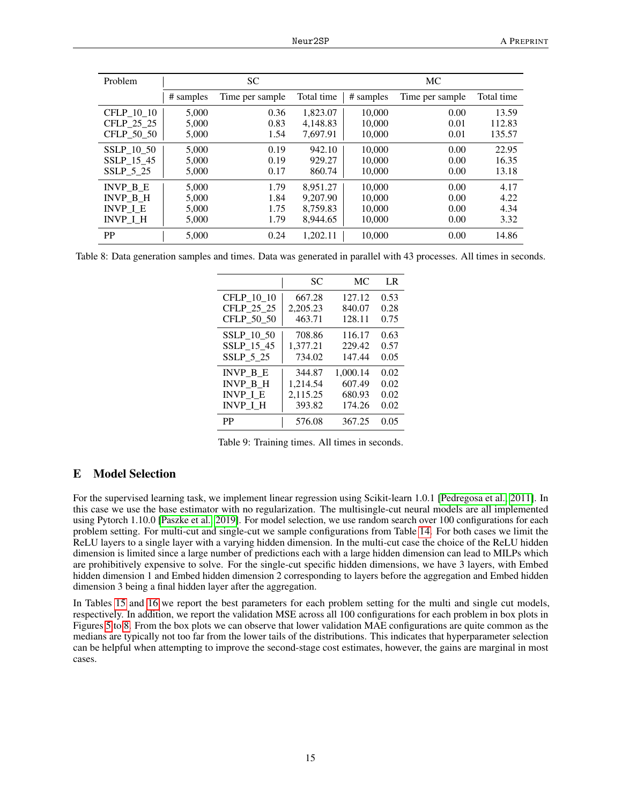| Problem           | <b>SC</b> |                 |            | МC        |                 |            |  |
|-------------------|-----------|-----------------|------------|-----------|-----------------|------------|--|
|                   | # samples | Time per sample | Total time | # samples | Time per sample | Total time |  |
| CFLP 10 10        | 5,000     | 0.36            | 1.823.07   | 10,000    | 0.00            | 13.59      |  |
| CFLP 25 25        | 5,000     | 0.83            | 4.148.83   | 10.000    | 0.01            | 112.83     |  |
| CFLP_50_50        | 5,000     | 1.54            | 7.697.91   | 10,000    | 0.01            | 135.57     |  |
| <b>SSLP 10 50</b> | 5,000     | 0.19            | 942.10     | 10.000    | 0.00            | 22.95      |  |
| SSLP 15 45        | 5,000     | 0.19            | 929.27     | 10,000    | 0.00            | 16.35      |  |
| SSLP 5 25         | 5,000     | 0.17            | 860.74     | 10.000    | 0.00            | 13.18      |  |
| INVP B E          | 5,000     | 1.79            | 8.951.27   | 10.000    | 0.00            | 4.17       |  |
| INVP B H          | 5,000     | 1.84            | 9.207.90   | 10.000    | 0.00            | 4.22       |  |
| <b>INVP I E</b>   | 5,000     | 1.75            | 8.759.83   | 10,000    | 0.00            | 4.34       |  |
| INVP I H          | 5,000     | 1.79            | 8,944.65   | 10,000    | 0.00            | 3.32       |  |
| <b>PP</b>         | 5.000     | 0.24            | 1.202.11   | 10.000    | 0.00            | 14.86      |  |

Table 8: Data generation samples and times. Data was generated in parallel with 43 processes. All times in seconds.

<span id="page-14-2"></span><span id="page-14-1"></span>

|                 | SC       | MC.      | LR   |
|-----------------|----------|----------|------|
| CFLP 10 10      | 667.28   | 127.12   | 0.53 |
| CFLP 25 25      | 2,205.23 | 840.07   | 0.28 |
| CFLP_50_50      | 463.71   | 128.11   | 0.75 |
| SSLP 10 50      | 708.86   | 116.17   | 0.63 |
| SSLP 15 45      | 1,377.21 | 229.42   | 0.57 |
| SSLP 5 25       | 734.02   | 147.44   | 0.05 |
| <b>INVP B E</b> | 344.87   | 1,000.14 | 0.02 |
| <b>INVP B H</b> | 1,214.54 | 607.49   | 0.02 |
| <b>INVP I E</b> | 2,115.25 | 680.93   | 0.02 |
| <b>INVP I H</b> | 393.82   | 174.26   | 0.02 |
| PP              | 576.08   | 367.25   | 0.05 |

Table 9: Training times. All times in seconds.

# <span id="page-14-0"></span>E Model Selection

For the supervised learning task, we implement linear regression using Scikit-learn 1.0.1 [\[Pedregosa et al., 2011\]](#page-10-18). In this case we use the base estimator with no regularization. The multisingle-cut neural models are all implemented using Pytorch 1.10.0 [\[Paszke et al., 2019\]](#page-10-19). For model selection, we use random search over 100 configurations for each problem setting. For multi-cut and single-cut we sample configurations from Table [14.](#page-17-0) For both cases we limit the ReLU layers to a single layer with a varying hidden dimension. In the multi-cut case the choice of the ReLU hidden dimension is limited since a large number of predictions each with a large hidden dimension can lead to MILPs which are prohibitively expensive to solve. For the single-cut specific hidden dimensions, we have 3 layers, with Embed hidden dimension 1 and Embed hidden dimension 2 corresponding to layers before the aggregation and Embed hidden dimension 3 being a final hidden layer after the aggregation.

In Tables [15](#page-17-1) and [16](#page-17-2) we report the best parameters for each problem setting for the multi and single cut models, respectively. In addition, we report the validation MSE across all 100 configurations for each problem in box plots in Figures [5](#page-15-1) to [8.](#page-18-0) From the box plots we can observe that lower validation MAE configurations are quite common as the medians are typically not too far from the lower tails of the distributions. This indicates that hyperparameter selection can be helpful when attempting to improve the second-stage cost estimates, however, the gains are marginal in most cases.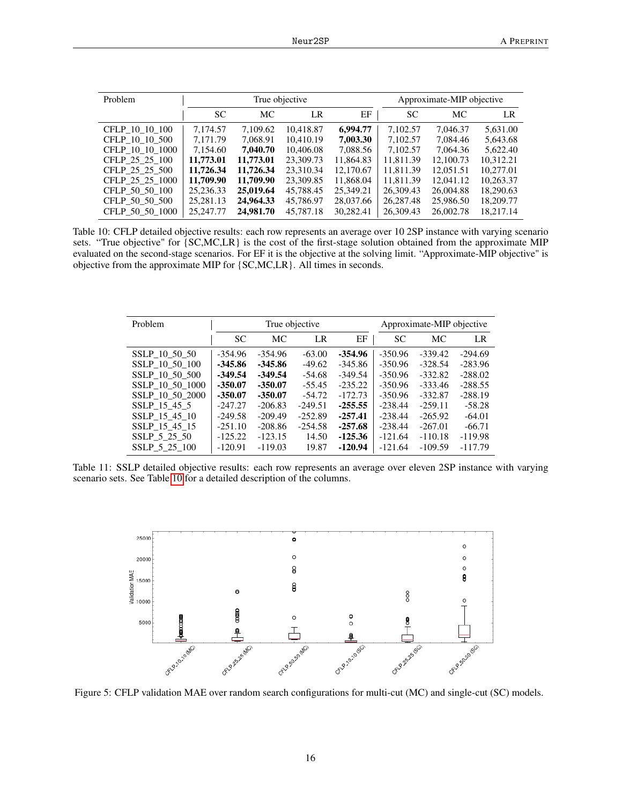<span id="page-15-0"></span>

| Problem         |           |           | True objective |           | Approximate-MIP objective |           |           |  |
|-----------------|-----------|-----------|----------------|-----------|---------------------------|-----------|-----------|--|
|                 | SC.       | МC        | LR             | EF        | SC.                       | МC        | LR        |  |
| CFLP 10 10 100  | 7,174.57  | 7,109.62  | 10,418.87      | 6,994.77  | 7,102.57                  | 7,046.37  | 5,631.00  |  |
| CFLP 10 10 500  | 7.171.79  | 7.068.91  | 10.410.19      | 7.003.30  | 7.102.57                  | 7.084.46  | 5,643.68  |  |
| CFLP 10 10 1000 | 7.154.60  | 7,040.70  | 10,406.08      | 7,088.56  | 7.102.57                  | 7.064.36  | 5.622.40  |  |
| CFLP 25 25 100  | 11,773.01 | 11,773.01 | 23,309.73      | 11,864.83 | 11.811.39                 | 12,100.73 | 10.312.21 |  |
| CFLP 25 25 500  | 11,726.34 | 11,726.34 | 23.310.34      | 12,170.67 | 11.811.39                 | 12,051.51 | 10.277.01 |  |
| CFLP 25 25 1000 | 11,709.90 | 11,709.90 | 23,309.85      | 11,868.04 | 11.811.39                 | 12.041.12 | 10,263.37 |  |
| CFLP 50 50 100  | 25.236.33 | 25,019.64 | 45,788.45      | 25.349.21 | 26.309.43                 | 26,004.88 | 18.290.63 |  |
| CFLP 50 50 500  | 25,281.13 | 24,964.33 | 45,786.97      | 28,037.66 | 26,287.48                 | 25,986.50 | 18,209.77 |  |
| CFLP 50 50 1000 | 25,247.77 | 24,981.70 | 45,787.18      | 30.282.41 | 26,309.43                 | 26,002.78 | 18.217.14 |  |

Table 10: CFLP detailed objective results: each row represents an average over 10 2SP instance with varying scenario sets. "True objective" for {SC,MC,LR} is the cost of the first-stage solution obtained from the approximate MIP evaluated on the second-stage scenarios. For EF it is the objective at the solving limit. "Approximate-MIP objective" is objective from the approximate MIP for {SC,MC,LR}. All times in seconds.

| Problem         |           |           | True objective |           |           | Approximate-MIP objective |           |
|-----------------|-----------|-----------|----------------|-----------|-----------|---------------------------|-----------|
|                 | SC.       | МC        | LR             | EF        | <b>SC</b> | <b>MC</b>                 | LR        |
| SSLP 10 50 50   | $-354.96$ | $-354.96$ | $-63.00$       | $-354.96$ | $-350.96$ | $-339.42$                 | $-294.69$ |
| SSLP 10 50 100  | $-345.86$ | $-345.86$ | $-49.62$       | $-345.86$ | $-350.96$ | $-328.54$                 | $-283.96$ |
| SSLP 10 50 500  | $-349.54$ | $-349.54$ | $-54.68$       | $-349.54$ | $-350.96$ | $-332.82$                 | $-288.02$ |
| SSLP 10 50 1000 | $-350.07$ | $-350.07$ | $-55.45$       | $-235.22$ | $-350.96$ | $-333.46$                 | $-288.55$ |
| SSLP 10 50 2000 | $-350.07$ | $-350.07$ | $-54.72$       | $-172.73$ | $-350.96$ | $-332.87$                 | $-288.19$ |
| SSLP 15 45 5    | $-247.27$ | $-206.83$ | $-249.51$      | $-255.55$ | $-238.44$ | $-259.11$                 | $-58.28$  |
| SSLP 15 45 10   | $-249.58$ | $-209.49$ | $-252.89$      | $-257.41$ | $-238.44$ | $-265.92$                 | $-64.01$  |
| SSLP 15 45 15   | $-251.10$ | $-208.86$ | $-254.58$      | $-257.68$ | $-238.44$ | $-267.01$                 | $-66.71$  |
| SSLP 5 25 50    | $-125.22$ | $-123.15$ | 14.50          | $-125.36$ | $-121.64$ | $-110.18$                 | $-119.98$ |
| SSLP 5 25 100   | $-120.91$ | $-119.03$ | 19.87          | $-120.94$ | $-121.64$ | $-109.59$                 | $-117.79$ |

Table 11: SSLP detailed objective results: each row represents an average over eleven 2SP instance with varying scenario sets. See Table [10](#page-15-0) for a detailed description of the columns.



<span id="page-15-1"></span>Figure 5: CFLP validation MAE over random search configurations for multi-cut (MC) and single-cut (SC) models.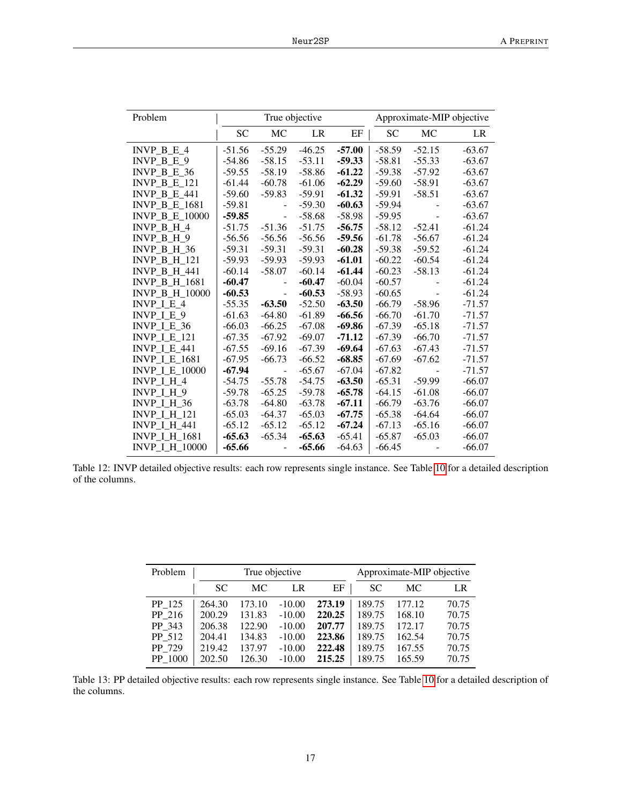| Problem               |           |                          | True objective |          | Approximate-MIP objective |           |          |  |
|-----------------------|-----------|--------------------------|----------------|----------|---------------------------|-----------|----------|--|
|                       | <b>SC</b> | MC                       | LR             | EF       | <b>SC</b>                 | <b>MC</b> | LR       |  |
| INVP $B E 4$          | $-51.56$  | $-55.29$                 | $-46.25$       | $-57.00$ | $-58.59$                  | $-52.15$  | $-63.67$ |  |
| $INVP_B_E_9$          | $-54.86$  | $-58.15$                 | $-53.11$       | $-59.33$ | $-58.81$                  | $-55.33$  | $-63.67$ |  |
| INVP B E $36$         | $-59.55$  | $-58.19$                 | $-58.86$       | $-61.22$ | $-59.38$                  | $-57.92$  | $-63.67$ |  |
| <b>INVP B E 121</b>   | $-61.44$  | $-60.78$                 | $-61.06$       | $-62.29$ | $-59.60$                  | $-58.91$  | $-63.67$ |  |
| <b>INVP B E 441</b>   | $-59.60$  | $-59.83$                 | $-59.91$       | $-61.32$ | $-59.91$                  | $-58.51$  | $-63.67$ |  |
| <b>INVP B E 1681</b>  | $-59.81$  | $\blacksquare$           | $-59.30$       | $-60.63$ | $-59.94$                  |           | $-63.67$ |  |
| <b>INVP B E 10000</b> | $-59.85$  | $\overline{\phantom{a}}$ | $-58.68$       | $-58.98$ | $-59.95$                  |           | $-63.67$ |  |
| INVP B H 4            | $-51.75$  | $-51.36$                 | $-51.75$       | $-56.75$ | $-58.12$                  | $-52.41$  | $-61.24$ |  |
| INVP B H 9            | $-56.56$  | $-56.56$                 | $-56.56$       | $-59.56$ | $-61.78$                  | $-56.67$  | $-61.24$ |  |
| INVP B H 36           | $-59.31$  | $-59.31$                 | $-59.31$       | $-60.28$ | $-59.38$                  | $-59.52$  | $-61.24$ |  |
| <b>INVP B H 121</b>   | $-59.93$  | $-59.93$                 | $-59.93$       | $-61.01$ | $-60.22$                  | $-60.54$  | $-61.24$ |  |
| <b>INVP B H 441</b>   | $-60.14$  | $-58.07$                 | $-60.14$       | $-61.44$ | $-60.23$                  | $-58.13$  | $-61.24$ |  |
| <b>INVP B H 1681</b>  | $-60.47$  |                          | $-60.47$       | $-60.04$ | $-60.57$                  |           | $-61.24$ |  |
| <b>INVP B H 10000</b> | $-60.53$  |                          | $-60.53$       | $-58.93$ | $-60.65$                  |           | $-61.24$ |  |
| INVP $I E 4$          | $-55.35$  | $-63.50$                 | $-52.50$       | $-63.50$ | $-66.79$                  | $-58.96$  | $-71.57$ |  |
| INVP I E 9            | $-61.63$  | $-64.80$                 | $-61.89$       | $-66.56$ | $-66.70$                  | $-61.70$  | $-71.57$ |  |
| INVP I E 36           | $-66.03$  | $-66.25$                 | $-67.08$       | $-69.86$ | $-67.39$                  | $-65.18$  | $-71.57$ |  |
| <b>INVP_I_E_121</b>   | $-67.35$  | $-67.92$                 | $-69.07$       | $-71.12$ | $-67.39$                  | $-66.70$  | $-71.57$ |  |
| <b>INVP I E 441</b>   | $-67.55$  | $-69.16$                 | $-67.39$       | $-69.64$ | $-67.63$                  | $-67.43$  | $-71.57$ |  |
| <b>INVP I E 1681</b>  | $-67.95$  | $-66.73$                 | $-66.52$       | $-68.85$ | $-67.69$                  | $-67.62$  | $-71.57$ |  |
| <b>INVP I E 10000</b> | $-67.94$  |                          | $-65.67$       | $-67.04$ | $-67.82$                  |           | $-71.57$ |  |
| INVP I H 4            | $-54.75$  | $-55.78$                 | $-54.75$       | $-63.50$ | $-65.31$                  | $-59.99$  | $-66.07$ |  |
| INVP I H 9            | $-59.78$  | $-65.25$                 | $-59.78$       | $-65.78$ | $-64.15$                  | $-61.08$  | $-66.07$ |  |
| <b>INVP I H 36</b>    | $-63.78$  | $-64.80$                 | $-63.78$       | $-67.11$ | $-66.79$                  | $-63.76$  | $-66.07$ |  |
| <b>INVP I H 121</b>   | $-65.03$  | $-64.37$                 | $-65.03$       | $-67.75$ | $-65.38$                  | $-64.64$  | $-66.07$ |  |
| <b>INVP_I_H_441</b>   | $-65.12$  | $-65.12$                 | $-65.12$       | $-67.24$ | $-67.13$                  | $-65.16$  | $-66.07$ |  |
| <b>INVP_I_H_1681</b>  | $-65.63$  | $-65.34$                 | $-65.63$       | $-65.41$ | $-65.87$                  | $-65.03$  | $-66.07$ |  |
| <b>INVP I H 10000</b> | -65.66    |                          | $-65.66$       | $-64.63$ | $-66.45$                  |           | $-66.07$ |  |

Table 12: INVP detailed objective results: each row represents single instance. See Table [10](#page-15-0) for a detailed description of the columns.

<span id="page-16-0"></span>

| Problem |        | True objective |          | Approximate-MIP objective |        |        |       |
|---------|--------|----------------|----------|---------------------------|--------|--------|-------|
|         | SC.    | MC.            | LR       | EF                        | SС     | MC.    | LR    |
| PP 125  | 264.30 | 173.10         | $-10.00$ | 273.19                    | 189.75 | 177.12 | 70.75 |
| PP 216  | 200.29 | 131.83         | $-10.00$ | 220.25                    | 189.75 | 168.10 | 70.75 |
| PP 343  | 206.38 | 122.90         | $-10.00$ | 207.77                    | 189.75 | 172.17 | 70.75 |
| PP 512  | 204.41 | 134.83         | $-10.00$ | 223.86                    | 189.75 | 162.54 | 70.75 |
| PP 729  | 219.42 | 137.97         | $-10.00$ | 222.48                    | 189.75 | 167.55 | 70.75 |
| PP 1000 | 202.50 | 126.30         | $-10.00$ | 215.25                    | 189.75 | 165.59 | 70.75 |

Table 13: PP detailed objective results: each row represents single instance. See Table [10](#page-15-0) for a detailed description of the columns.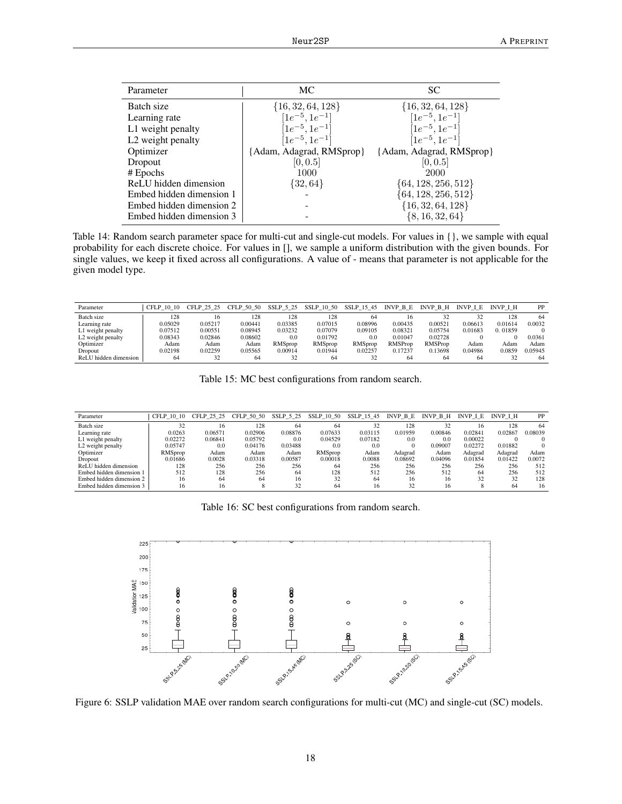| Parameter                     | MC                                           | <b>SC</b>                |
|-------------------------------|----------------------------------------------|--------------------------|
| Batch size                    | $\{16, 32, 64, 128\}$                        | $\{16, 32, 64, 128\}$    |
| Learning rate                 | $[1e^{-5}, 1e^{-1}]$<br>$[1e^{-5}, 1e^{-1}]$ | $[1e^{-5}, 1e^{-1}]$     |
| L1 weight penalty             |                                              | $[1e^{-5}, 1e^{-1}]$     |
| L <sub>2</sub> weight penalty | $[1e^{-5}, 1e^{-1}]$                         | $[1e^{-5}, 1e^{-1}]$     |
| Optimizer                     | [Adam, Adagrad, RMSprop]                     | {Adam, Adagrad, RMSprop} |
| Dropout                       | [0, 0.5]                                     | [0, 0.5]                 |
| # Epochs                      | 1000                                         | 2000                     |
| ReLU hidden dimension         | $\{32, 64\}$                                 | $\{64, 128, 256, 512\}$  |
| Embed hidden dimension 1      |                                              | $\{64, 128, 256, 512\}$  |
| Embed hidden dimension 2      |                                              | $\{16, 32, 64, 128\}$    |
| Embed hidden dimension 3      |                                              | $\{8, 16, 32, 64\}$      |

Table 14: Random search parameter space for multi-cut and single-cut models. For values in {}, we sample with equal probability for each discrete choice. For values in [], we sample a uniform distribution with the given bounds. For single values, we keep it fixed across all configurations. A value of - means that parameter is not applicable for the given model type.

| Parameter             | CFLP 10 10 | CFLP 25 25 | CFLP 50 50 | SSLP 5 25      | SSLP 10 50     | SSLP 15 45     | INVP B E       | INVP B H       | INVP I E | <b>INVP I H</b> | PP      |
|-----------------------|------------|------------|------------|----------------|----------------|----------------|----------------|----------------|----------|-----------------|---------|
| Batch size            | 128        | 16         | 128        | 128            | 128            | 64             |                | 32             |          | 128             | 64      |
| Learning rate         | 0.05029    | 0.05217    | 0.00441    | 0.03385        | 0.07015        | 0.08996        | 0.00435        | 0.00521        | 0.06613  | 0.01614         | 0.0032  |
| L1 weight penalty     | 0.07512    | 0.00551    | 0.08945    | 0.03232        | 0.07079        | 0.09105        | 0.08321        | 0.05754        | 0.01683  | 0.01859         |         |
| L2 weight penalty     | 0.08343    | 0.02846    | 0.08602    | 0.0            | 0.01792        | 0.0            | 0.01047        | 0.02728        |          |                 | 0.0361  |
| Optimizer             | Adam       | Adam       | Adam       | <b>RMSprop</b> | <b>RMSprop</b> | <b>RMSprop</b> | <b>RMSProp</b> | <b>RMSProp</b> | Adam     | Adam            | Adam    |
| Dropout               | 0.02198    | 0.02259    | 0.05565    | 0.00914        | 0.01944        | 0.02257        | 0.17237        | 0.13698        | 0.04986  | 0.0859          | 0.05945 |
| ReLU hidden dimension | 64         | 32         | 64         | 32             | 64             | 32             | 64             | 64             | 64       |                 | 64      |

<span id="page-17-1"></span><span id="page-17-0"></span>Table 15: MC best configurations from random search.

| Parameter                | CFLP 10 10     | CFLP 25 25 | CFLP 50 50 | SSLP 5 25 | SSLP 10 50     | SSLP 15 45 | INVP B E | INVP B H | INVP I E | <b>INVP I H</b> | PP      |
|--------------------------|----------------|------------|------------|-----------|----------------|------------|----------|----------|----------|-----------------|---------|
| Batch size               | 32             | 16         | 128        | 64        | 64             | 32         | 128      | 32       | 16       | 128             | 64      |
| Learning rate            | 0.0263         | 0.06571    | 0.02906    | 0.08876   | 0.07633        | 0.03115    | 0.01959  | 0.00846  | 0.02841  | 0.02867         | 0.08039 |
| L1 weight penalty        | 0.02272        | 0.06841    | 0.05792    | 0.0       | 0.04529        | 0.07182    | 0.0      | 0.0      | 0.00022  |                 |         |
| L2 weight penalty        | 0.05747        | 0.0        | 0.04176    | 0.03488   | 0.0            | 0.0        |          | 0.09007  | 0.02272  | 0.01882         |         |
| Optimizer                | <b>RMSprop</b> | Adam       | Adam       | Adam      | <b>RMSprop</b> | Adam       | Adagrad  | Adam     | Adagrad  | Adagrad         | Adam    |
| Dropout                  | 0.01686        | 0.0028     | 0.03318    | 0.00587   | 0.00018        | 0.0088     | 0.08692  | 0.04096  | 0.01854  | 0.01422         | 0.0072  |
| ReLU hidden dimension    | 128            | 256        | 256        | 256       | -64            | 256        | 256      | 256      | 256      | 256             | 512     |
| Embed hidden dimension 1 | 512            | 128        | 256        | 64        | 128            | 512        | 256      | 512      | 64       | 256             | 512     |
| Embed hidden dimension 2 | 16             | 64         | 64         | 16        | 32             | 64         | 16       | 16       | 32       | 32              | 128     |
| Embed hidden dimension 3 | 16             | 16         |            | 32        | 64             | 16         | 32       | 16       |          | 64              | 16      |

<span id="page-17-2"></span>

| Table 16: SC best configurations from random search. |  |
|------------------------------------------------------|--|
|------------------------------------------------------|--|



Figure 6: SSLP validation MAE over random search configurations for multi-cut (MC) and single-cut (SC) models.